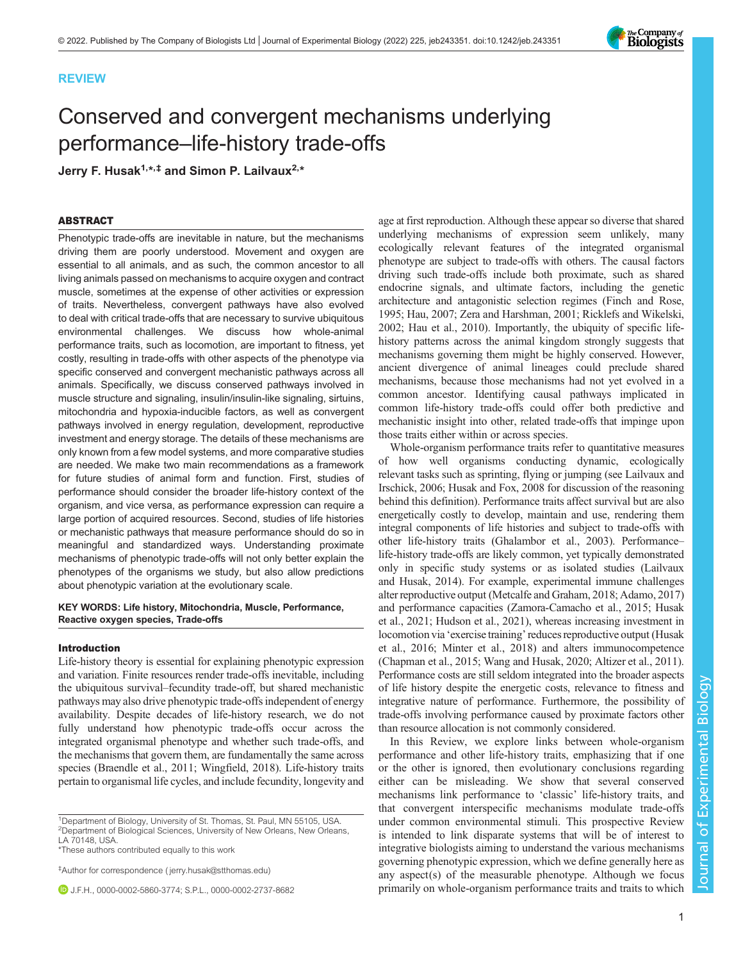## REVIEW

# Conserved and convergent mechanisms underlying performance–life-history trade-offs

Jerry F. Husak<sup>1,\*,‡</sup> and Simon P. Lailvaux<sup>2,\*</sup>

## ABSTRACT

Phenotypic trade-offs are inevitable in nature, but the mechanisms driving them are poorly understood. Movement and oxygen are essential to all animals, and as such, the common ancestor to all living animals passed on mechanisms to acquire oxygen and contract muscle, sometimes at the expense of other activities or expression of traits. Nevertheless, convergent pathways have also evolved to deal with critical trade-offs that are necessary to survive ubiquitous environmental challenges. We discuss how whole-animal performance traits, such as locomotion, are important to fitness, yet costly, resulting in trade-offs with other aspects of the phenotype via specific conserved and convergent mechanistic pathways across all animals. Specifically, we discuss conserved pathways involved in muscle structure and signaling, insulin/insulin-like signaling, sirtuins, mitochondria and hypoxia-inducible factors, as well as convergent pathways involved in energy regulation, development, reproductive investment and energy storage. The details of these mechanisms are only known from a few model systems, and more comparative studies are needed. We make two main recommendations as a framework for future studies of animal form and function. First, studies of performance should consider the broader life-history context of the organism, and vice versa, as performance expression can require a large portion of acquired resources. Second, studies of life histories or mechanistic pathways that measure performance should do so in meaningful and standardized ways. Understanding proximate mechanisms of phenotypic trade-offs will not only better explain the phenotypes of the organisms we study, but also allow predictions about phenotypic variation at the evolutionary scale.

#### KEY WORDS: Life history, Mitochondria, Muscle, Performance, Reactive oxygen species, Trade-offs

#### Introduction

Life-history theory is essential for explaining phenotypic expression and variation. Finite resources render trade-offs inevitable, including the ubiquitous survival–fecundity trade-off, but shared mechanistic pathways may also drive phenotypic trade-offs independent of energy availability. Despite decades of life-history research, we do not fully understand how phenotypic trade-offs occur across the integrated organismal phenotype and whether such trade-offs, and the mechanisms that govern them, are fundamentally the same across species ([Braendle et al., 2011;](#page-8-0) [Wingfield, 2018\)](#page-11-0). Life-history traits pertain to organismal life cycles, and include fecundity, longevity and

<sup>1</sup>Department of Biology, University of St. Thomas, St. Paul, MN 55105, USA. <sup>2</sup>Department of Biological Sciences, University of New Orleans, New Orleans, LA 70148, USA.

\*These authors contributed equally to this work

‡Author for correspondence ( [jerry.husak@stthomas.edu\)](mailto:jerry.husak@stthomas.edu)

J.F.H., [0000-0002-5860-3774;](http://orcid.org/0000-0002-5860-3774) S.P.L., [0000-0002-2737-8682](http://orcid.org/0000-0002-2737-8682)

age at first reproduction. Although these appear so diverse that shared underlying mechanisms of expression seem unlikely, many ecologically relevant features of the integrated organismal phenotype are subject to trade-offs with others. The causal factors driving such trade-offs include both proximate, such as shared endocrine signals, and ultimate factors, including the genetic architecture and antagonistic selection regimes ([Finch and Rose,](#page-9-0) [1995; Hau, 2007](#page-9-0); [Zera and Harshman, 2001](#page-11-0); [Ricklefs and Wikelski,](#page-10-0) [2002;](#page-10-0) [Hau et al., 2010](#page-9-0)). Importantly, the ubiquity of specific lifehistory patterns across the animal kingdom strongly suggests that mechanisms governing them might be highly conserved. However, ancient divergence of animal lineages could preclude shared mechanisms, because those mechanisms had not yet evolved in a common ancestor. Identifying causal pathways implicated in common life-history trade-offs could offer both predictive and mechanistic insight into other, related trade-offs that impinge upon those traits either within or across species.

Whole-organism performance traits refer to quantitative measures of how well organisms conducting dynamic, ecologically relevant tasks such as sprinting, flying or jumping (see [Lailvaux and](#page-9-0) [Irschick, 2006; Husak and Fox, 2008](#page-9-0) for discussion of the reasoning behind this definition). Performance traits affect survival but are also energetically costly to develop, maintain and use, rendering them integral components of life histories and subject to trade-offs with other life-history traits [\(Ghalambor et al., 2003\)](#page-9-0). Performance– life-history trade-offs are likely common, yet typically demonstrated only in specific study systems or as isolated studies [\(Lailvaux](#page-9-0) [and Husak, 2014](#page-9-0)). For example, experimental immune challenges alter reproductive output ([Metcalfe and Graham, 2018;](#page-10-0) [Adamo, 2017\)](#page-8-0) and performance capacities [\(Zamora-Camacho et al., 2015](#page-11-0); [Husak](#page-9-0) [et al., 2021; Hudson et al., 2021\)](#page-9-0), whereas increasing investment in locomotion via 'exercise training'reduces reproductive output [\(Husak](#page-9-0) [et al., 2016](#page-9-0); [Minter et al., 2018](#page-10-0)) and alters immunocompetence [\(Chapman et al., 2015;](#page-8-0) [Wang and Husak, 2020](#page-11-0); [Altizer et al., 2011\)](#page-8-0). Performance costs are still seldom integrated into the broader aspects of life history despite the energetic costs, relevance to fitness and integrative nature of performance. Furthermore, the possibility of trade-offs involving performance caused by proximate factors other than resource allocation is not commonly considered.

In this Review, we explore links between whole-organism performance and other life-history traits, emphasizing that if one or the other is ignored, then evolutionary conclusions regarding either can be misleading. We show that several conserved mechanisms link performance to 'classic' life-history traits, and that convergent interspecific mechanisms modulate trade-offs under common environmental stimuli. This prospective Review is intended to link disparate systems that will be of interest to integrative biologists aiming to understand the various mechanisms governing phenotypic expression, which we define generally here as any aspect(s) of the measurable phenotype. Although we focus primarily on whole-organism performance traits and traits to which

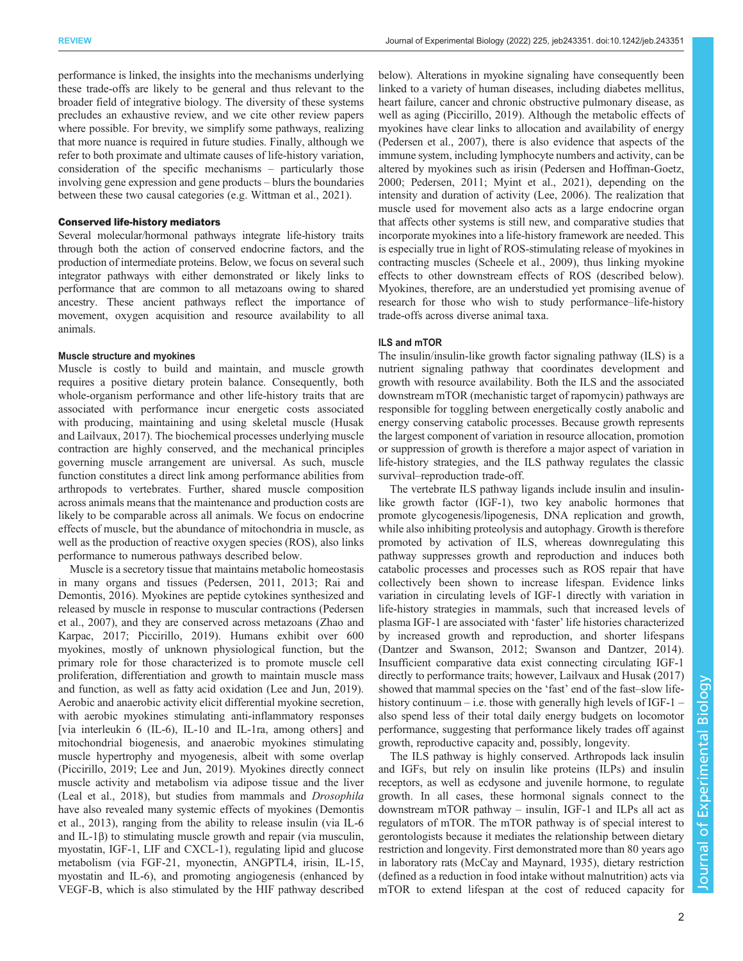performance is linked, the insights into the mechanisms underlying these trade-offs are likely to be general and thus relevant to the broader field of integrative biology. The diversity of these systems precludes an exhaustive review, and we cite other review papers where possible. For brevity, we simplify some pathways, realizing that more nuance is required in future studies. Finally, although we refer to both proximate and ultimate causes of life-history variation, consideration of the specific mechanisms – particularly those involving gene expression and gene products – blurs the boundaries between these two causal categories (e.g. [Wittman et al., 2021\)](#page-11-0).

## Conserved life-history mediators

Several molecular/hormonal pathways integrate life-history traits through both the action of conserved endocrine factors, and the production of intermediate proteins. Below, we focus on several such integrator pathways with either demonstrated or likely links to performance that are common to all metazoans owing to shared ancestry. These ancient pathways reflect the importance of movement, oxygen acquisition and resource availability to all animals.

## Muscle structure and myokines

Muscle is costly to build and maintain, and muscle growth requires a positive dietary protein balance. Consequently, both whole-organism performance and other life-history traits that are associated with performance incur energetic costs associated with producing, maintaining and using skeletal muscle ([Husak](#page-9-0) [and Lailvaux, 2017\)](#page-9-0). The biochemical processes underlying muscle contraction are highly conserved, and the mechanical principles governing muscle arrangement are universal. As such, muscle function constitutes a direct link among performance abilities from arthropods to vertebrates. Further, shared muscle composition across animals means that the maintenance and production costs are likely to be comparable across all animals. We focus on endocrine effects of muscle, but the abundance of mitochondria in muscle, as well as the production of reactive oxygen species (ROS), also links performance to numerous pathways described below.

Muscle is a secretory tissue that maintains metabolic homeostasis in many organs and tissues [\(Pedersen, 2011](#page-10-0), [2013](#page-10-0); [Rai and](#page-10-0) [Demontis, 2016\)](#page-10-0). Myokines are peptide cytokines synthesized and released by muscle in response to muscular contractions [\(Pedersen](#page-10-0) [et al., 2007\)](#page-10-0), and they are conserved across metazoans ([Zhao and](#page-11-0) [Karpac, 2017;](#page-11-0) [Piccirillo, 2019\)](#page-10-0). Humans exhibit over 600 myokines, mostly of unknown physiological function, but the primary role for those characterized is to promote muscle cell proliferation, differentiation and growth to maintain muscle mass and function, as well as fatty acid oxidation ([Lee and Jun, 2019\)](#page-10-0). Aerobic and anaerobic activity elicit differential myokine secretion, with aerobic myokines stimulating anti-inflammatory responses [via interleukin 6 (IL-6), IL-10 and IL-1ra, among others] and mitochondrial biogenesis, and anaerobic myokines stimulating muscle hypertrophy and myogenesis, albeit with some overlap [\(Piccirillo, 2019](#page-10-0); [Lee and Jun, 2019\)](#page-10-0). Myokines directly connect muscle activity and metabolism via adipose tissue and the liver [\(Leal et al., 2018](#page-9-0)), but studies from mammals and Drosophila have also revealed many systemic effects of myokines [\(Demontis](#page-9-0) [et al., 2013\)](#page-9-0), ranging from the ability to release insulin (via IL-6 and IL-1β) to stimulating muscle growth and repair (via musculin, myostatin, IGF-1, LIF and CXCL-1), regulating lipid and glucose metabolism (via FGF-21, myonectin, ANGPTL4, irisin, IL-15, myostatin and IL-6), and promoting angiogenesis (enhanced by VEGF-B, which is also stimulated by the HIF pathway described

below). Alterations in myokine signaling have consequently been linked to a variety of human diseases, including diabetes mellitus, heart failure, cancer and chronic obstructive pulmonary disease, as well as aging ([Piccirillo, 2019](#page-10-0)). Although the metabolic effects of myokines have clear links to allocation and availability of energy [\(Pedersen et al., 2007\)](#page-10-0), there is also evidence that aspects of the immune system, including lymphocyte numbers and activity, can be altered by myokines such as irisin ([Pedersen and Hoffman-Goetz,](#page-10-0) [2000; Pedersen, 2011](#page-10-0); [Myint et al., 2021\)](#page-10-0), depending on the intensity and duration of activity [\(Lee, 2006\)](#page-10-0). The realization that muscle used for movement also acts as a large endocrine organ that affects other systems is still new, and comparative studies that incorporate myokines into a life-history framework are needed. This is especially true in light of ROS-stimulating release of myokines in contracting muscles ([Scheele et al., 2009](#page-11-0)), thus linking myokine effects to other downstream effects of ROS (described below). Myokines, therefore, are an understudied yet promising avenue of research for those who wish to study performance–life-history trade-offs across diverse animal taxa.

#### ILS and mTOR

The insulin/insulin-like growth factor signaling pathway (ILS) is a nutrient signaling pathway that coordinates development and growth with resource availability. Both the ILS and the associated downstream mTOR (mechanistic target of rapomycin) pathways are responsible for toggling between energetically costly anabolic and energy conserving catabolic processes. Because growth represents the largest component of variation in resource allocation, promotion or suppression of growth is therefore a major aspect of variation in life-history strategies, and the ILS pathway regulates the classic survival–reproduction trade-off.

The vertebrate ILS pathway ligands include insulin and insulinlike growth factor (IGF-1), two key anabolic hormones that promote glycogenesis/lipogenesis, DNA replication and growth, while also inhibiting proteolysis and autophagy. Growth is therefore promoted by activation of ILS, whereas downregulating this pathway suppresses growth and reproduction and induces both catabolic processes and processes such as ROS repair that have collectively been shown to increase lifespan. Evidence links variation in circulating levels of IGF-1 directly with variation in life-history strategies in mammals, such that increased levels of plasma IGF-1 are associated with 'faster' life histories characterized by increased growth and reproduction, and shorter lifespans [\(Dantzer and Swanson, 2012](#page-8-0); [Swanson and Dantzer, 2014\)](#page-11-0). Insufficient comparative data exist connecting circulating IGF-1 directly to performance traits; however, [Lailvaux and Husak \(2017\)](#page-9-0) showed that mammal species on the 'fast' end of the fast–slow lifehistory continuum – i.e. those with generally high levels of IGF-1 – also spend less of their total daily energy budgets on locomotor performance, suggesting that performance likely trades off against growth, reproductive capacity and, possibly, longevity.

The ILS pathway is highly conserved. Arthropods lack insulin and IGFs, but rely on insulin like proteins (ILPs) and insulin receptors, as well as ecdysone and juvenile hormone, to regulate growth. In all cases, these hormonal signals connect to the downstream mTOR pathway – insulin, IGF-1 and ILPs all act as regulators of mTOR. The mTOR pathway is of special interest to gerontologists because it mediates the relationship between dietary restriction and longevity. First demonstrated more than 80 years ago in laboratory rats [\(McCay and Maynard, 1935\)](#page-10-0), dietary restriction (defined as a reduction in food intake without malnutrition) acts via mTOR to extend lifespan at the cost of reduced capacity for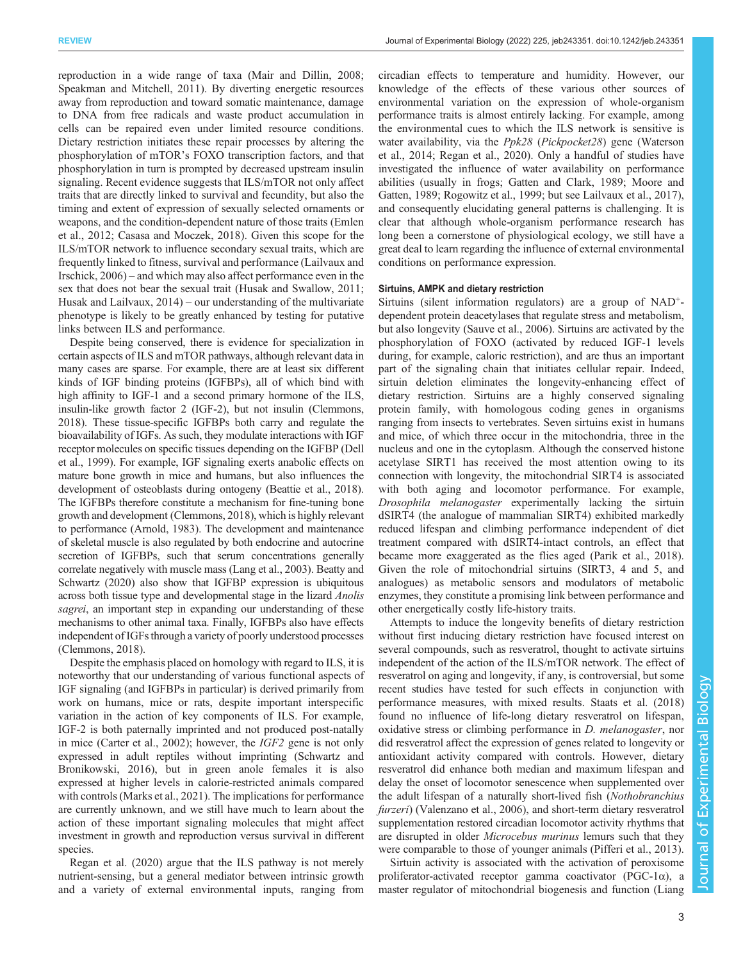reproduction in a wide range of taxa [\(Mair and Dillin, 2008](#page-10-0); [Speakman and Mitchell, 2011](#page-11-0)). By diverting energetic resources away from reproduction and toward somatic maintenance, damage to DNA from free radicals and waste product accumulation in cells can be repaired even under limited resource conditions. Dietary restriction initiates these repair processes by altering the phosphorylation of mTOR's FOXO transcription factors, and that phosphorylation in turn is prompted by decreased upstream insulin signaling. Recent evidence suggests that ILS/mTOR not only affect traits that are directly linked to survival and fecundity, but also the timing and extent of expression of sexually selected ornaments or weapons, and the condition-dependent nature of those traits [\(Emlen](#page-9-0) [et al., 2012;](#page-9-0) [Casasa and Moczek, 2018](#page-8-0)). Given this scope for the ILS/mTOR network to influence secondary sexual traits, which are frequently linked to fitness, survival and performance [\(Lailvaux and](#page-9-0) [Irschick, 2006](#page-9-0)) – and which may also affect performance even in the sex that does not bear the sexual trait ([Husak and Swallow, 2011](#page-9-0); [Husak and Lailvaux, 2014\)](#page-9-0) – our understanding of the multivariate phenotype is likely to be greatly enhanced by testing for putative links between ILS and performance.

Despite being conserved, there is evidence for specialization in certain aspects of ILS and mTOR pathways, although relevant data in many cases are sparse. For example, there are at least six different kinds of IGF binding proteins (IGFBPs), all of which bind with high affinity to IGF-1 and a second primary hormone of the ILS, insulin-like growth factor 2 (IGF-2), but not insulin [\(Clemmons,](#page-8-0) [2018\)](#page-8-0). These tissue-specific IGFBPs both carry and regulate the bioavailability of IGFs. As such, they modulate interactions with IGF receptor molecules on specific tissues depending on the IGFBP [\(Dell](#page-9-0) [et al., 1999](#page-9-0)). For example, IGF signaling exerts anabolic effects on mature bone growth in mice and humans, but also influences the development of osteoblasts during ontogeny [\(Beattie et al., 2018\)](#page-8-0). The IGFBPs therefore constitute a mechanism for fine-tuning bone growth and development [\(Clemmons, 2018](#page-8-0)), which is highly relevant to performance ([Arnold, 1983\)](#page-8-0). The development and maintenance of skeletal muscle is also regulated by both endocrine and autocrine secretion of IGFBPs, such that serum concentrations generally correlate negatively with muscle mass ([Lang et al., 2003](#page-9-0)). [Beatty and](#page-8-0) [Schwartz \(2020\)](#page-8-0) also show that IGFBP expression is ubiquitous across both tissue type and developmental stage in the lizard Anolis sagrei, an important step in expanding our understanding of these mechanisms to other animal taxa. Finally, IGFBPs also have effects independent of IGFs through a variety of poorly understood processes [\(Clemmons, 2018\)](#page-8-0).

Despite the emphasis placed on homology with regard to ILS, it is noteworthy that our understanding of various functional aspects of IGF signaling (and IGFBPs in particular) is derived primarily from work on humans, mice or rats, despite important interspecific variation in the action of key components of ILS. For example, IGF-2 is both paternally imprinted and not produced post-natally in mice ([Carter et al., 2002\)](#page-8-0); however, the IGF2 gene is not only expressed in adult reptiles without imprinting ([Schwartz and](#page-11-0) [Bronikowski, 2016](#page-11-0)), but in green anole females it is also expressed at higher levels in calorie-restricted animals compared with controls [\(Marks et al., 2021](#page-10-0)). The implications for performance are currently unknown, and we still have much to learn about the action of these important signaling molecules that might affect investment in growth and reproduction versus survival in different species.

[Regan et al. \(2020\)](#page-10-0) argue that the ILS pathway is not merely nutrient-sensing, but a general mediator between intrinsic growth and a variety of external environmental inputs, ranging from circadian effects to temperature and humidity. However, our knowledge of the effects of these various other sources of environmental variation on the expression of whole-organism performance traits is almost entirely lacking. For example, among the environmental cues to which the ILS network is sensitive is water availability, via the Ppk28 (Pickpocket28) gene [\(Waterson](#page-11-0) [et al., 2014](#page-11-0); [Regan et al., 2020](#page-10-0)). Only a handful of studies have investigated the influence of water availability on performance abilities (usually in frogs; [Gatten and Clark, 1989;](#page-9-0) [Moore and](#page-10-0) [Gatten, 1989; Rogowitz et al., 1999;](#page-10-0) but see [Lailvaux et al., 2017\)](#page-9-0), and consequently elucidating general patterns is challenging. It is clear that although whole-organism performance research has long been a cornerstone of physiological ecology, we still have a great deal to learn regarding the influence of external environmental conditions on performance expression.

## Sirtuins, AMPK and dietary restriction

Sirtuins (silent information regulators) are a group of NAD+ dependent protein deacetylases that regulate stress and metabolism, but also longevity ([Sauve et al., 2006](#page-10-0)). Sirtuins are activated by the phosphorylation of FOXO (activated by reduced IGF-1 levels during, for example, caloric restriction), and are thus an important part of the signaling chain that initiates cellular repair. Indeed, sirtuin deletion eliminates the longevity-enhancing effect of dietary restriction. Sirtuins are a highly conserved signaling protein family, with homologous coding genes in organisms ranging from insects to vertebrates. Seven sirtuins exist in humans and mice, of which three occur in the mitochondria, three in the nucleus and one in the cytoplasm. Although the conserved histone acetylase SIRT1 has received the most attention owing to its connection with longevity, the mitochondrial SIRT4 is associated with both aging and locomotor performance. For example, Drosophila melanogaster experimentally lacking the sirtuin dSIRT4 (the analogue of mammalian SIRT4) exhibited markedly reduced lifespan and climbing performance independent of diet treatment compared with dSIRT4-intact controls, an effect that became more exaggerated as the flies aged ([Parik et al., 2018\).](#page-10-0) Given the role of mitochondrial sirtuins (SIRT3, 4 and 5, and analogues) as metabolic sensors and modulators of metabolic enzymes, they constitute a promising link between performance and other energetically costly life-history traits.

Attempts to induce the longevity benefits of dietary restriction without first inducing dietary restriction have focused interest on several compounds, such as resveratrol, thought to activate sirtuins independent of the action of the ILS/mTOR network. The effect of resveratrol on aging and longevity, if any, is controversial, but some recent studies have tested for such effects in conjunction with performance measures, with mixed results. [Staats et al. \(2018\)](#page-11-0) found no influence of life-long dietary resveratrol on lifespan, oxidative stress or climbing performance in D. melanogaster, nor did resveratrol affect the expression of genes related to longevity or antioxidant activity compared with controls. However, dietary resveratrol did enhance both median and maximum lifespan and delay the onset of locomotor senescence when supplemented over the adult lifespan of a naturally short-lived fish (Nothobranchius furzeri) ([Valenzano et al., 2006\)](#page-11-0), and short-term dietary resveratrol supplementation restored circadian locomotor activity rhythms that are disrupted in older Microcebus murinus lemurs such that they were comparable to those of younger animals ([Pifferi et al., 2013\)](#page-10-0).

Sirtuin activity is associated with the activation of peroxisome proliferator-activated receptor gamma coactivator (PGC-1α), a master regulator of mitochondrial biogenesis and function ([Liang](#page-10-0)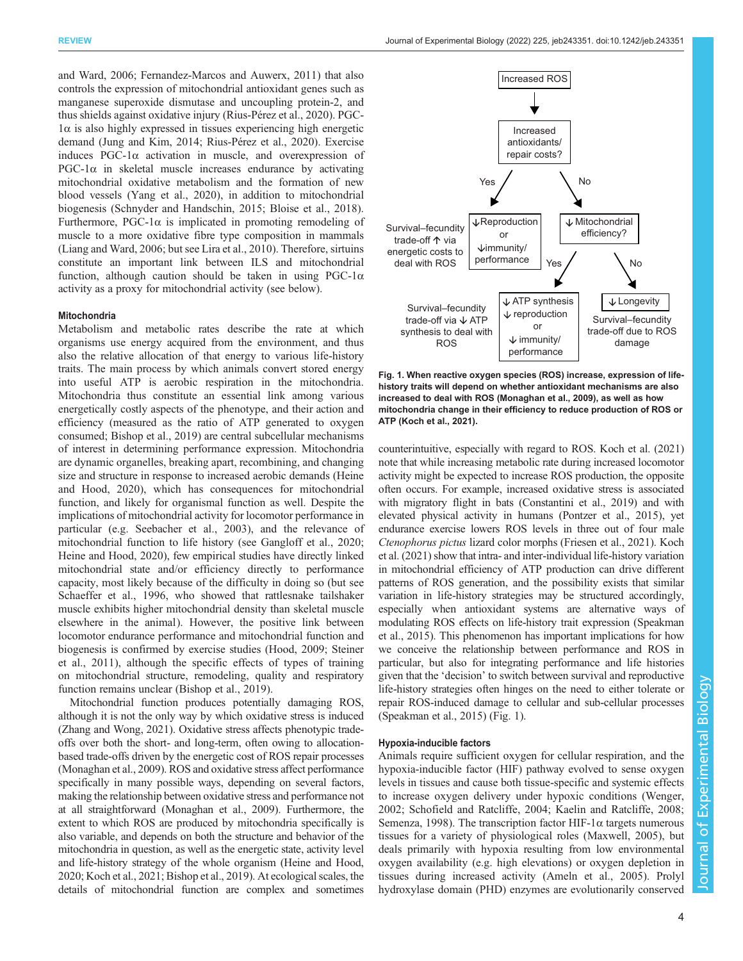<span id="page-3-0"></span>[and Ward, 2006](#page-10-0); [Fernandez-Marcos and Auwerx, 2011](#page-9-0)) that also controls the expression of mitochondrial antioxidant genes such as manganese superoxide dismutase and uncoupling protein-2, and thus shields against oxidative injury ([Rius-Pérez et al., 2020](#page-10-0)). PGC- $1\alpha$  is also highly expressed in tissues experiencing high energetic demand [\(Jung and Kim, 2014](#page-9-0); [Rius-Pérez et al., 2020\)](#page-10-0). Exercise induces  $PGC-1\alpha$  activation in muscle, and overexpression of PGC-1 $α$  in skeletal muscle increases endurance by activating mitochondrial oxidative metabolism and the formation of new blood vessels ([Yang et al., 2020\)](#page-11-0), in addition to mitochondrial biogenesis ([Schnyder and Handschin, 2015](#page-11-0); [Bloise et al., 2018\)](#page-8-0). Furthermore, PGC-1 $\alpha$  is implicated in promoting remodeling of muscle to a more oxidative fibre type composition in mammals [\(Liang and Ward, 2006](#page-10-0); but see [Lira et al., 2010](#page-10-0)). Therefore, sirtuins constitute an important link between ILS and mitochondrial function, although caution should be taken in using  $PGC-1\alpha$ activity as a proxy for mitochondrial activity (see below).

#### **Mitochondria**

Metabolism and metabolic rates describe the rate at which organisms use energy acquired from the environment, and thus also the relative allocation of that energy to various life-history traits. The main process by which animals convert stored energy into useful ATP is aerobic respiration in the mitochondria. Mitochondria thus constitute an essential link among various energetically costly aspects of the phenotype, and their action and efficiency (measured as the ratio of ATP generated to oxygen consumed; [Bishop et al., 2019\)](#page-8-0) are central subcellular mechanisms of interest in determining performance expression. Mitochondria are dynamic organelles, breaking apart, recombining, and changing size and structure in response to increased aerobic demands ([Heine](#page-9-0) [and Hood, 2020](#page-9-0)), which has consequences for mitochondrial function, and likely for organismal function as well. Despite the implications of mitochondrial activity for locomotor performance in particular (e.g. [Seebacher et al., 2003\)](#page-11-0), and the relevance of mitochondrial function to life history (see [Gangloff et al., 2020](#page-9-0); [Heine and Hood, 2020\)](#page-9-0), few empirical studies have directly linked mitochondrial state and/or efficiency directly to performance capacity, most likely because of the difficulty in doing so (but see [Schaeffer et al., 1996,](#page-10-0) who showed that rattlesnake tailshaker muscle exhibits higher mitochondrial density than skeletal muscle elsewhere in the animal). However, the positive link between locomotor endurance performance and mitochondrial function and biogenesis is confirmed by exercise studies ([Hood, 2009](#page-9-0); [Steiner](#page-11-0) [et al., 2011](#page-11-0)), although the specific effects of types of training on mitochondrial structure, remodeling, quality and respiratory function remains unclear ([Bishop et al., 2019\)](#page-8-0).

Mitochondrial function produces potentially damaging ROS, although it is not the only way by which oxidative stress is induced [\(Zhang and Wong, 2021](#page-11-0)). Oxidative stress affects phenotypic tradeoffs over both the short- and long-term, often owing to allocationbased trade-offs driven by the energetic cost of ROS repair processes [\(Monaghan et al., 2009](#page-10-0)). ROS and oxidative stress affect performance specifically in many possible ways, depending on several factors, making the relationship between oxidative stress and performance not at all straightforward [\(Monaghan et al., 2009](#page-10-0)). Furthermore, the extent to which ROS are produced by mitochondria specifically is also variable, and depends on both the structure and behavior of the mitochondria in question, as well as the energetic state, activity level and life-history strategy of the whole organism [\(Heine and Hood,](#page-9-0) [2020; Koch et al., 2021;](#page-9-0) [Bishop et al., 2019](#page-8-0)). At ecological scales, the details of mitochondrial function are complex and sometimes



Fig. 1. When reactive oxygen species (ROS) increase, expression of lifehistory traits will depend on whether antioxidant mechanisms are also increased to deal with ROS [\(Monaghan et al., 2009\)](#page-10-0), as well as how mitochondria change in their efficiency to reduce production of ROS or ATP [\(Koch et al., 2021](#page-9-0)).

counterintuitive, especially with regard to ROS. [Koch et al. \(2021\)](#page-9-0) note that while increasing metabolic rate during increased locomotor activity might be expected to increase ROS production, the opposite often occurs. For example, increased oxidative stress is associated with migratory flight in bats ([Constantini et al., 2019](#page-8-0)) and with elevated physical activity in humans ([Pontzer et al., 2015\)](#page-10-0), yet endurance exercise lowers ROS levels in three out of four male Ctenophorus pictus lizard color morphs [\(Friesen et al., 2021\)](#page-9-0). [Koch](#page-9-0) [et al. \(2021\)](#page-9-0) show that intra- and inter-individual life-history variation in mitochondrial efficiency of ATP production can drive different patterns of ROS generation, and the possibility exists that similar variation in life-history strategies may be structured accordingly, especially when antioxidant systems are alternative ways of modulating ROS effects on life-history trait expression [\(Speakman](#page-11-0) [et al., 2015](#page-11-0)). This phenomenon has important implications for how we conceive the relationship between performance and ROS in particular, but also for integrating performance and life histories given that the 'decision' to switch between survival and reproductive life-history strategies often hinges on the need to either tolerate or repair ROS-induced damage to cellular and sub-cellular processes [\(Speakman et al., 2015\)](#page-11-0) (Fig. 1).

## Hypoxia-inducible factors

Animals require sufficient oxygen for cellular respiration, and the hypoxia-inducible factor (HIF) pathway evolved to sense oxygen levels in tissues and cause both tissue-specific and systemic effects to increase oxygen delivery under hypoxic conditions [\(Wenger,](#page-11-0) [2002; Schofield and Ratcliffe, 2004;](#page-11-0) [Kaelin and Ratcliffe, 2008](#page-9-0); [Semenza, 1998\)](#page-11-0). The transcription factor HIF-1 $\alpha$  targets numerous tissues for a variety of physiological roles [\(Maxwell, 2005\)](#page-10-0), but deals primarily with hypoxia resulting from low environmental oxygen availability (e.g. high elevations) or oxygen depletion in tissues during increased activity [\(Ameln et al., 2005](#page-8-0)). Prolyl hydroxylase domain (PHD) enzymes are evolutionarily conserved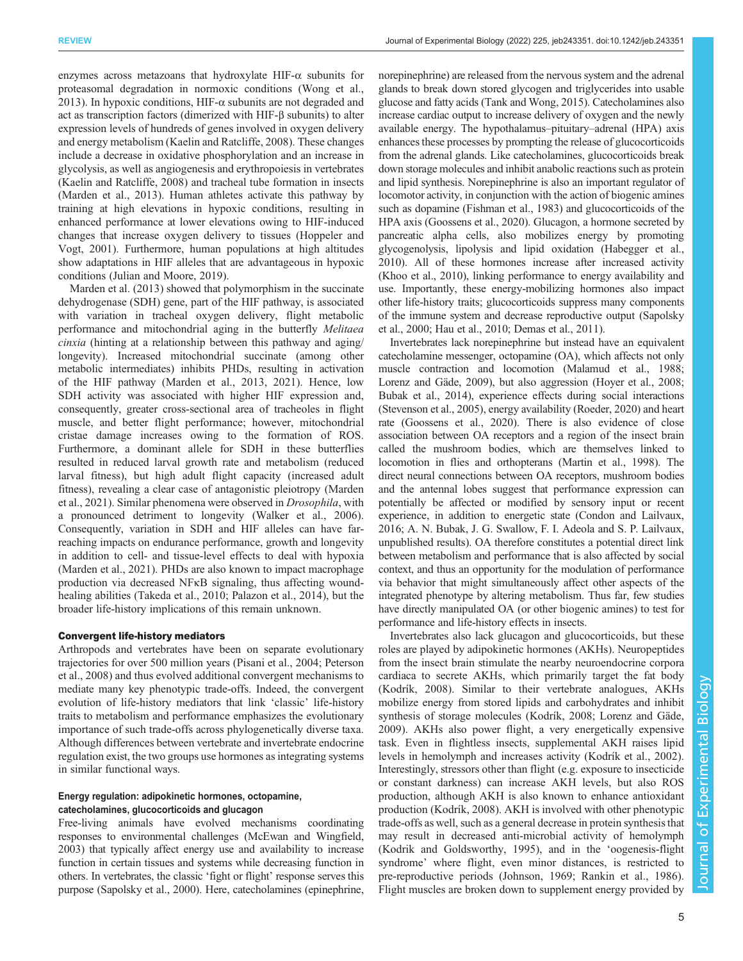enzymes across metazoans that hydroxylate HIF- $\alpha$  subunits for proteasomal degradation in normoxic conditions ([Wong et al.,](#page-11-0) [2013](#page-11-0)). In hypoxic conditions, HIF- $\alpha$  subunits are not degraded and act as transcription factors (dimerized with HIF-β subunits) to alter expression levels of hundreds of genes involved in oxygen delivery and energy metabolism ([Kaelin and Ratcliffe, 2008\)](#page-9-0). These changes include a decrease in oxidative phosphorylation and an increase in glycolysis, as well as angiogenesis and erythropoiesis in vertebrates [\(Kaelin and Ratcliffe, 2008\)](#page-9-0) and tracheal tube formation in insects [\(Marden et al., 2013](#page-10-0)). Human athletes activate this pathway by training at high elevations in hypoxic conditions, resulting in enhanced performance at lower elevations owing to HIF-induced changes that increase oxygen delivery to tissues [\(Hoppeler and](#page-9-0) [Vogt, 2001\)](#page-9-0). Furthermore, human populations at high altitudes show adaptations in HIF alleles that are advantageous in hypoxic conditions [\(Julian and Moore, 2019\)](#page-9-0).

[Marden et al. \(2013\)](#page-10-0) showed that polymorphism in the succinate dehydrogenase (SDH) gene, part of the HIF pathway, is associated with variation in tracheal oxygen delivery, flight metabolic performance and mitochondrial aging in the butterfly Melitaea cinxia (hinting at a relationship between this pathway and aging/ longevity). Increased mitochondrial succinate (among other metabolic intermediates) inhibits PHDs, resulting in activation of the HIF pathway ([Marden et al., 2013, 2021](#page-10-0)). Hence, low SDH activity was associated with higher HIF expression and, consequently, greater cross-sectional area of tracheoles in flight muscle, and better flight performance; however, mitochondrial cristae damage increases owing to the formation of ROS. Furthermore, a dominant allele for SDH in these butterflies resulted in reduced larval growth rate and metabolism (reduced larval fitness), but high adult flight capacity (increased adult fitness), revealing a clear case of antagonistic pleiotropy ([Marden](#page-10-0) [et al., 2021](#page-10-0)). Similar phenomena were observed in Drosophila, with a pronounced detriment to longevity [\(Walker et al., 2006\)](#page-11-0). Consequently, variation in SDH and HIF alleles can have farreaching impacts on endurance performance, growth and longevity in addition to cell- and tissue-level effects to deal with hypoxia [\(Marden et al., 2021\)](#page-10-0). PHDs are also known to impact macrophage production via decreased NFκB signaling, thus affecting woundhealing abilities ([Takeda et al., 2010;](#page-11-0) [Palazon et al., 2014\)](#page-10-0), but the broader life-history implications of this remain unknown.

## Convergent life-history mediators

Arthropods and vertebrates have been on separate evolutionary trajectories for over 500 million years [\(Pisani et al., 2004; Peterson](#page-10-0) [et al., 2008\)](#page-10-0) and thus evolved additional convergent mechanisms to mediate many key phenotypic trade-offs. Indeed, the convergent evolution of life-history mediators that link 'classic' life-history traits to metabolism and performance emphasizes the evolutionary importance of such trade-offs across phylogenetically diverse taxa. Although differences between vertebrate and invertebrate endocrine regulation exist, the two groups use hormones as integrating systems in similar functional ways.

## Energy regulation: adipokinetic hormones, octopamine, catecholamines, glucocorticoids and glucagon

Free-living animals have evolved mechanisms coordinating responses to environmental challenges [\(McEwan and Wingfield,](#page-10-0) [2003\)](#page-10-0) that typically affect energy use and availability to increase function in certain tissues and systems while decreasing function in others. In vertebrates, the classic 'fight or flight' response serves this purpose [\(Sapolsky et al., 2000](#page-10-0)). Here, catecholamines (epinephrine,

norepinephrine) are released from the nervous system and the adrenal glands to break down stored glycogen and triglycerides into usable glucose and fatty acids ([Tank and Wong, 2015](#page-11-0)). Catecholamines also increase cardiac output to increase delivery of oxygen and the newly available energy. The hypothalamus–pituitary–adrenal (HPA) axis enhances these processes by prompting the release of glucocorticoids from the adrenal glands. Like catecholamines, glucocorticoids break down storage molecules and inhibit anabolic reactions such as protein and lipid synthesis. Norepinephrine is also an important regulator of locomotor activity, in conjunction with the action of biogenic amines such as dopamine [\(Fishman et al., 1983\)](#page-9-0) and glucocorticoids of the HPA axis [\(Goossens et al., 2020](#page-9-0)). Glucagon, a hormone secreted by pancreatic alpha cells, also mobilizes energy by promoting glycogenolysis, lipolysis and lipid oxidation [\(Habegger et al.,](#page-9-0) [2010\)](#page-9-0). All of these hormones increase after increased activity [\(Khoo et al., 2010](#page-9-0)), linking performance to energy availability and use. Importantly, these energy-mobilizing hormones also impact other life-history traits; glucocorticoids suppress many components of the immune system and decrease reproductive output [\(Sapolsky](#page-10-0) [et al., 2000;](#page-10-0) [Hau et al., 2010; Demas et al., 2011\)](#page-9-0).

Invertebrates lack norepinephrine but instead have an equivalent catecholamine messenger, octopamine (OA), which affects not only muscle contraction and locomotion [\(Malamud et al., 1988](#page-10-0); [Lorenz and Gäde, 2009\)](#page-10-0), but also aggression [\(Hoyer et al., 2008](#page-9-0); [Bubak et al., 2014](#page-8-0)), experience effects during social interactions [\(Stevenson et al., 2005](#page-11-0)), energy availability ([Roeder, 2020](#page-10-0)) and heart rate ([Goossens et al., 2020\)](#page-9-0). There is also evidence of close association between OA receptors and a region of the insect brain called the mushroom bodies, which are themselves linked to locomotion in flies and orthopterans [\(Martin et al., 1998](#page-10-0)). The direct neural connections between OA receptors, mushroom bodies and the antennal lobes suggest that performance expression can potentially be affected or modified by sensory input or recent experience, in addition to energetic state [\(Condon and Lailvaux,](#page-8-0) [2016;](#page-8-0) A. N. Bubak, J. G. Swallow, F. I. Adeola and S. P. Lailvaux, unpublished results). OA therefore constitutes a potential direct link between metabolism and performance that is also affected by social context, and thus an opportunity for the modulation of performance via behavior that might simultaneously affect other aspects of the integrated phenotype by altering metabolism. Thus far, few studies have directly manipulated OA (or other biogenic amines) to test for performance and life-history effects in insects.

Invertebrates also lack glucagon and glucocorticoids, but these roles are played by adipokinetic hormones (AKHs). Neuropeptides from the insect brain stimulate the nearby neuroendocrine corpora cardiaca to secrete AKHs, which primarily target the fat body [\(Kodrík, 2008](#page-9-0)). Similar to their vertebrate analogues, AKHs mobilize energy from stored lipids and carbohydrates and inhibit synthesis of storage molecules ([Kodrík, 2008](#page-9-0); [Lorenz and Gäde,](#page-10-0) [2009\)](#page-10-0). AKHs also power flight, a very energetically expensive task. Even in flightless insects, supplemental AKH raises lipid levels in hemolymph and increases activity ([Kodrík et al., 2002\)](#page-9-0). Interestingly, stressors other than flight (e.g. exposure to insecticide or constant darkness) can increase AKH levels, but also ROS production, although AKH is also known to enhance antioxidant production ([Kodrík, 2008](#page-9-0)). AKH is involved with other phenotypic trade-offs as well, such as a general decrease in protein synthesis that may result in decreased anti-microbial activity of hemolymph [\(Kodrik and Goldsworthy, 1995\)](#page-9-0), and in the 'oogenesis-flight syndrome' where flight, even minor distances, is restricted to pre-reproductive periods [\(Johnson, 1969;](#page-9-0) [Rankin et al., 1986\)](#page-10-0). Flight muscles are broken down to supplement energy provided by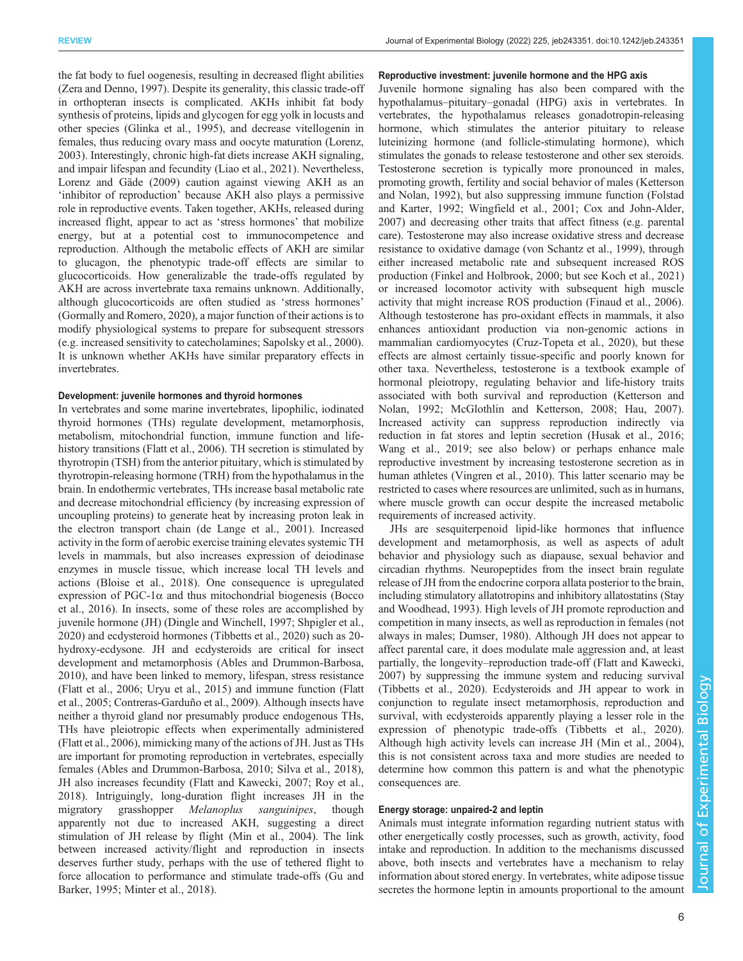the fat body to fuel oogenesis, resulting in decreased flight abilities [\(Zera and Denno, 1997](#page-11-0)). Despite its generality, this classic trade-off in orthopteran insects is complicated. AKHs inhibit fat body synthesis of proteins, lipids and glycogen for egg yolk in locusts and other species ([Glinka et al., 1995](#page-9-0)), and decrease vitellogenin in females, thus reducing ovary mass and oocyte maturation [\(Lorenz,](#page-10-0) [2003](#page-10-0)). Interestingly, chronic high-fat diets increase AKH signaling, and impair lifespan and fecundity ([Liao et al., 2021](#page-10-0)). Nevertheless, [Lorenz and Gäde \(2009\)](#page-10-0) caution against viewing AKH as an 'inhibitor of reproduction' because AKH also plays a permissive role in reproductive events. Taken together, AKHs, released during increased flight, appear to act as 'stress hormones' that mobilize energy, but at a potential cost to immunocompetence and reproduction. Although the metabolic effects of AKH are similar to glucagon, the phenotypic trade-off effects are similar to glucocorticoids. How generalizable the trade-offs regulated by AKH are across invertebrate taxa remains unknown. Additionally, although glucocorticoids are often studied as 'stress hormones' [\(Gormally and Romero, 2020\)](#page-9-0), a major function of their actions is to modify physiological systems to prepare for subsequent stressors (e.g. increased sensitivity to catecholamines; [Sapolsky et al., 2000\)](#page-10-0). It is unknown whether AKHs have similar preparatory effects in invertebrates.

#### Development: juvenile hormones and thyroid hormones

In vertebrates and some marine invertebrates, lipophilic, iodinated thyroid hormones (THs) regulate development, metamorphosis, metabolism, mitochondrial function, immune function and lifehistory transitions ([Flatt et al., 2006\)](#page-9-0). TH secretion is stimulated by thyrotropin (TSH) from the anterior pituitary, which is stimulated by thyrotropin-releasing hormone (TRH) from the hypothalamus in the brain. In endothermic vertebrates, THs increase basal metabolic rate and decrease mitochondrial efficiency (by increasing expression of uncoupling proteins) to generate heat by increasing proton leak in the electron transport chain [\(de Lange et al., 2001\)](#page-8-0). Increased activity in the form of aerobic exercise training elevates systemic TH levels in mammals, but also increases expression of deiodinase enzymes in muscle tissue, which increase local TH levels and actions ([Bloise et al., 2018\)](#page-8-0). One consequence is upregulated expression of PGC-1 $\alpha$  and thus mitochondrial biogenesis ([Bocco](#page-8-0) [et al., 2016\)](#page-8-0). In insects, some of these roles are accomplished by juvenile hormone (JH) [\(Dingle and Winchell, 1997](#page-9-0); [Shpigler et al.,](#page-11-0) [2020](#page-11-0)) and ecdysteroid hormones ([Tibbetts et al., 2020\)](#page-11-0) such as 20 hydroxy-ecdysone. JH and ecdysteroids are critical for insect development and metamorphosis ([Ables and Drummon-Barbosa,](#page-8-0) [2010](#page-8-0)), and have been linked to memory, lifespan, stress resistance [\(Flatt et al., 2006](#page-9-0); [Uryu et al., 2015\)](#page-11-0) and immune function [\(Flatt](#page-9-0) [et al., 2005](#page-9-0); [Contreras-Garduño et al., 2009\)](#page-8-0). Although insects have neither a thyroid gland nor presumably produce endogenous THs, THs have pleiotropic effects when experimentally administered [\(Flatt et al., 2006](#page-9-0)), mimicking many of the actions of JH. Just as THs are important for promoting reproduction in vertebrates, especially females [\(Ables and Drummon-Barbosa, 2010;](#page-8-0) [Silva et al., 2018\)](#page-11-0), JH also increases fecundity [\(Flatt and Kawecki, 2007](#page-9-0); [Roy et al.,](#page-10-0) [2018](#page-10-0)). Intriguingly, long-duration flight increases JH in the migratory grasshopper *Melanoplus sanguinipes*, though apparently not due to increased AKH, suggesting a direct stimulation of JH release by flight ([Min et al., 2004](#page-10-0)). The link between increased activity/flight and reproduction in insects deserves further study, perhaps with the use of tethered flight to force allocation to performance and stimulate trade-offs [\(Gu and](#page-9-0) [Barker, 1995](#page-9-0); [Minter et al., 2018](#page-10-0)).

#### Reproductive investment: juvenile hormone and the HPG axis

Juvenile hormone signaling has also been compared with the hypothalamus–pituitary–gonadal (HPG) axis in vertebrates. In vertebrates, the hypothalamus releases gonadotropin-releasing hormone, which stimulates the anterior pituitary to release luteinizing hormone (and follicle-stimulating hormone), which stimulates the gonads to release testosterone and other sex steroids. Testosterone secretion is typically more pronounced in males, promoting growth, fertility and social behavior of males [\(Ketterson](#page-9-0) [and Nolan, 1992](#page-9-0)), but also suppressing immune function ([Folstad](#page-9-0) [and Karter, 1992;](#page-9-0) [Wingfield et al., 2001](#page-11-0); [Cox and John-Alder,](#page-8-0) [2007\)](#page-8-0) and decreasing other traits that affect fitness (e.g. parental care). Testosterone may also increase oxidative stress and decrease resistance to oxidative damage [\(von Schantz et al., 1999\)](#page-11-0), through either increased metabolic rate and subsequent increased ROS production [\(Finkel and Holbrook, 2000](#page-9-0); but see [Koch et al., 2021\)](#page-9-0) or increased locomotor activity with subsequent high muscle activity that might increase ROS production [\(Finaud et al., 2006\)](#page-9-0). Although testosterone has pro-oxidant effects in mammals, it also enhances antioxidant production via non-genomic actions in mammalian cardiomyocytes ([Cruz-Topeta et al., 2020](#page-8-0)), but these effects are almost certainly tissue-specific and poorly known for other taxa. Nevertheless, testosterone is a textbook example of hormonal pleiotropy, regulating behavior and life-history traits associated with both survival and reproduction ([Ketterson and](#page-9-0) [Nolan, 1992;](#page-9-0) [McGlothlin and Ketterson, 2008](#page-10-0); [Hau, 2007\)](#page-9-0). Increased activity can suppress reproduction indirectly via reduction in fat stores and leptin secretion [\(Husak et al., 2016](#page-9-0); [Wang et al., 2019;](#page-11-0) see also below) or perhaps enhance male reproductive investment by increasing testosterone secretion as in human athletes [\(Vingren et al., 2010\)](#page-11-0). This latter scenario may be restricted to cases where resources are unlimited, such as in humans, where muscle growth can occur despite the increased metabolic requirements of increased activity.

JHs are sesquiterpenoid lipid-like hormones that influence development and metamorphosis, as well as aspects of adult behavior and physiology such as diapause, sexual behavior and circadian rhythms. Neuropeptides from the insect brain regulate release of JH from the endocrine corpora allata posterior to the brain, including stimulatory allatotropins and inhibitory allatostatins [\(Stay](#page-11-0) [and Woodhead, 1993\)](#page-11-0). High levels of JH promote reproduction and competition in many insects, as well as reproduction in females (not always in males; [Dumser, 1980\)](#page-9-0). Although JH does not appear to affect parental care, it does modulate male aggression and, at least partially, the longevity–reproduction trade-off [\(Flatt and Kawecki,](#page-9-0) [2007\)](#page-9-0) by suppressing the immune system and reducing survival [\(Tibbetts et al., 2020](#page-11-0)). Ecdysteroids and JH appear to work in conjunction to regulate insect metamorphosis, reproduction and survival, with ecdysteroids apparently playing a lesser role in the expression of phenotypic trade-offs [\(Tibbetts et al., 2020\)](#page-11-0). Although high activity levels can increase JH [\(Min et al., 2004\)](#page-10-0), this is not consistent across taxa and more studies are needed to determine how common this pattern is and what the phenotypic consequences are.

## Energy storage: unpaired-2 and leptin

Animals must integrate information regarding nutrient status with other energetically costly processes, such as growth, activity, food intake and reproduction. In addition to the mechanisms discussed above, both insects and vertebrates have a mechanism to relay information about stored energy. In vertebrates, white adipose tissue secretes the hormone leptin in amounts proportional to the amount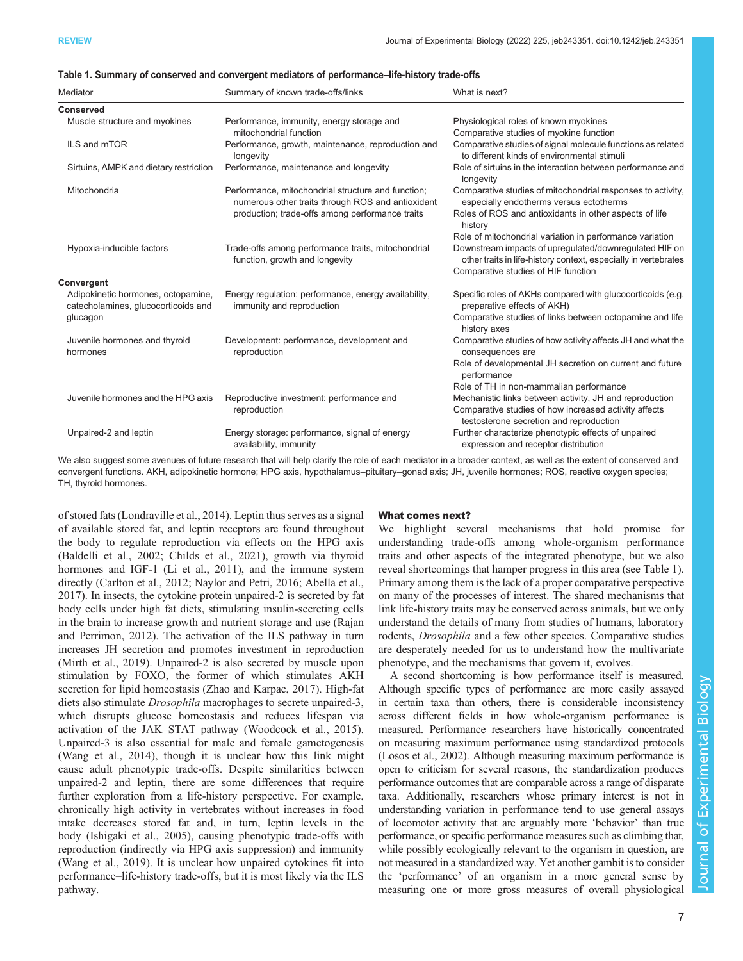| Mediator                                                                  | Summary of known trade-offs/links                                                                       | What is next?                                                                                                             |
|---------------------------------------------------------------------------|---------------------------------------------------------------------------------------------------------|---------------------------------------------------------------------------------------------------------------------------|
| <b>Conserved</b>                                                          |                                                                                                         |                                                                                                                           |
| Muscle structure and myokines                                             | Performance, immunity, energy storage and<br>mitochondrial function                                     | Physiological roles of known myokines<br>Comparative studies of myokine function                                          |
| ILS and mTOR                                                              | Performance, growth, maintenance, reproduction and<br>longevity                                         | Comparative studies of signal molecule functions as related<br>to different kinds of environmental stimuli                |
| Sirtuins, AMPK and dietary restriction                                    | Performance, maintenance and longevity                                                                  | Role of sirtuins in the interaction between performance and<br>longevity                                                  |
| Mitochondria                                                              | Performance, mitochondrial structure and function;<br>numerous other traits through ROS and antioxidant | Comparative studies of mitochondrial responses to activity,<br>especially endotherms versus ectotherms                    |
|                                                                           | production; trade-offs among performance traits                                                         | Roles of ROS and antioxidants in other aspects of life<br>history                                                         |
|                                                                           |                                                                                                         | Role of mitochondrial variation in performance variation                                                                  |
| Hypoxia-inducible factors                                                 | Trade-offs among performance traits, mitochondrial<br>function, growth and longevity                    | Downstream impacts of upregulated/downregulated HIF on<br>other traits in life-history context, especially in vertebrates |
|                                                                           |                                                                                                         | Comparative studies of HIF function                                                                                       |
| <b>Convergent</b>                                                         |                                                                                                         |                                                                                                                           |
| Adipokinetic hormones, octopamine,<br>catecholamines, glucocorticoids and | Energy regulation: performance, energy availability,<br>immunity and reproduction                       | Specific roles of AKHs compared with glucocorticoids (e.g.<br>preparative effects of AKH)                                 |
| glucagon                                                                  |                                                                                                         | Comparative studies of links between octopamine and life<br>history axes                                                  |
| Juvenile hormones and thyroid<br>hormones                                 | Development: performance, development and<br>reproduction                                               | Comparative studies of how activity affects JH and what the<br>consequences are                                           |
|                                                                           |                                                                                                         | Role of developmental JH secretion on current and future<br>performance                                                   |
|                                                                           |                                                                                                         | Role of TH in non-mammalian performance                                                                                   |
| Juvenile hormones and the HPG axis                                        | Reproductive investment: performance and                                                                | Mechanistic links between activity, JH and reproduction                                                                   |
|                                                                           | reproduction                                                                                            | Comparative studies of how increased activity affects<br>testosterone secretion and reproduction                          |
| Unpaired-2 and leptin                                                     | Energy storage: performance, signal of energy<br>availability, immunity                                 | Further characterize phenotypic effects of unpaired<br>expression and receptor distribution                               |

| Table 1. Summary of conserved and convergent mediators of performance-life-history trade-offs |  |  |
|-----------------------------------------------------------------------------------------------|--|--|
|                                                                                               |  |  |

We also suggest some avenues of future research that will help clarify the role of each mediator in a broader context, as well as the extent of conserved and convergent functions. AKH, adipokinetic hormone; HPG axis, hypothalamus–pituitary–gonad axis; JH, juvenile hormones; ROS, reactive oxygen species; TH, thyroid hormones.

of stored fats [\(Londraville et al., 2014\)](#page-10-0). Leptin thus serves as a signal of available stored fat, and leptin receptors are found throughout the body to regulate reproduction via effects on the HPG axis [\(Baldelli et al., 2002](#page-8-0); [Childs et al., 2021\)](#page-8-0), growth via thyroid hormones and IGF-1 ([Li et al., 2011\)](#page-10-0), and the immune system directly [\(Carlton et al., 2012](#page-8-0); [Naylor and Petri, 2016](#page-10-0); [Abella et al.,](#page-8-0) [2017](#page-8-0)). In insects, the cytokine protein unpaired-2 is secreted by fat body cells under high fat diets, stimulating insulin-secreting cells in the brain to increase growth and nutrient storage and use ([Rajan](#page-10-0) [and Perrimon, 2012](#page-10-0)). The activation of the ILS pathway in turn increases JH secretion and promotes investment in reproduction [\(Mirth et al., 2019](#page-10-0)). Unpaired-2 is also secreted by muscle upon stimulation by FOXO, the former of which stimulates AKH secretion for lipid homeostasis [\(Zhao and Karpac, 2017](#page-11-0)). High-fat diets also stimulate Drosophila macrophages to secrete unpaired-3, which disrupts glucose homeostasis and reduces lifespan via activation of the JAK–STAT pathway [\(Woodcock et al., 2015\)](#page-11-0). Unpaired-3 is also essential for male and female gametogenesis [\(Wang et al., 2014\)](#page-11-0), though it is unclear how this link might cause adult phenotypic trade-offs. Despite similarities between unpaired-2 and leptin, there are some differences that require further exploration from a life-history perspective. For example, chronically high activity in vertebrates without increases in food intake decreases stored fat and, in turn, leptin levels in the body [\(Ishigaki et al., 2005](#page-9-0)), causing phenotypic trade-offs with reproduction (indirectly via HPG axis suppression) and immunity [\(Wang et al., 2019](#page-11-0)). It is unclear how unpaired cytokines fit into performance–life-history trade-offs, but it is most likely via the ILS pathway.

## What comes next?

We highlight several mechanisms that hold promise for understanding trade-offs among whole-organism performance traits and other aspects of the integrated phenotype, but we also reveal shortcomings that hamper progress in this area (see Table 1). Primary among them is the lack of a proper comparative perspective on many of the processes of interest. The shared mechanisms that link life-history traits may be conserved across animals, but we only understand the details of many from studies of humans, laboratory rodents, Drosophila and a few other species. Comparative studies are desperately needed for us to understand how the multivariate phenotype, and the mechanisms that govern it, evolves.

A second shortcoming is how performance itself is measured. Although specific types of performance are more easily assayed in certain taxa than others, there is considerable inconsistency across different fields in how whole-organism performance is measured. Performance researchers have historically concentrated on measuring maximum performance using standardized protocols [\(Losos et al., 2002\)](#page-10-0). Although measuring maximum performance is open to criticism for several reasons, the standardization produces performance outcomes that are comparable across a range of disparate taxa. Additionally, researchers whose primary interest is not in understanding variation in performance tend to use general assays of locomotor activity that are arguably more 'behavior' than true performance, or specific performance measures such as climbing that, while possibly ecologically relevant to the organism in question, are not measured in a standardized way. Yet another gambit is to consider the 'performance' of an organism in a more general sense by measuring one or more gross measures of overall physiological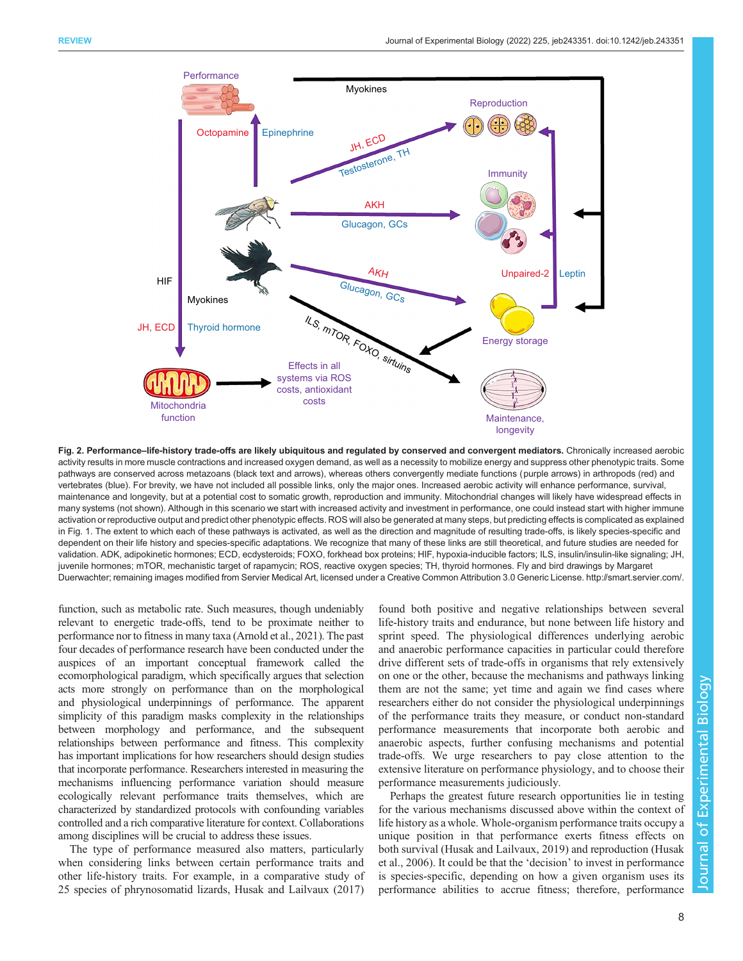<span id="page-7-0"></span>

Fig. 2. Performance–life-history trade-offs are likely ubiquitous and regulated by conserved and convergent mediators. Chronically increased aerobic activity results in more muscle contractions and increased oxygen demand, as well as a necessity to mobilize energy and suppress other phenotypic traits. Some pathways are conserved across metazoans (black text and arrows), whereas others convergently mediate functions (purple arrows) in arthropods (red) and vertebrates (blue). For brevity, we have not included all possible links, only the major ones. Increased aerobic activity will enhance performance, survival, maintenance and longevity, but at a potential cost to somatic growth, reproduction and immunity. Mitochondrial changes will likely have widespread effects in many systems (not shown). Although in this scenario we start with increased activity and investment in performance, one could instead start with higher immune activation or reproductive output and predict other phenotypic effects. ROS will also be generated at many steps, but predicting effects is complicated as explained in [Fig. 1](#page-3-0). The extent to which each of these pathways is activated, as well as the direction and magnitude of resulting trade-offs, is likely species-specific and dependent on their life history and species-specific adaptations. We recognize that many of these links are still theoretical, and future studies are needed for validation. ADK, adipokinetic hormones; ECD, ecdysteroids; FOXO, forkhead box proteins; HIF, hypoxia-inducible factors; ILS, insulin/insulin-like signaling; JH, juvenile hormones; mTOR, mechanistic target of rapamycin; ROS, reactive oxygen species; TH, thyroid hormones. Fly and bird drawings by Margaret Duerwachter; remaining images modified from Servier Medical Art, licensed under a Creative Common Attribution 3.0 Generic License. [http://smart.servier.com/.](http://smart.servier.com/)

function, such as metabolic rate. Such measures, though undeniably relevant to energetic trade-offs, tend to be proximate neither to performance nor to fitness in many taxa [\(Arnold et al., 2021](#page-8-0)). The past four decades of performance research have been conducted under the auspices of an important conceptual framework called the ecomorphological paradigm, which specifically argues that selection acts more strongly on performance than on the morphological and physiological underpinnings of performance. The apparent simplicity of this paradigm masks complexity in the relationships between morphology and performance, and the subsequent relationships between performance and fitness. This complexity has important implications for how researchers should design studies that incorporate performance. Researchers interested in measuring the mechanisms influencing performance variation should measure ecologically relevant performance traits themselves, which are characterized by standardized protocols with confounding variables controlled and a rich comparative literature for context. Collaborations among disciplines will be crucial to address these issues.

The type of performance measured also matters, particularly when considering links between certain performance traits and other life-history traits. For example, in a comparative study of 25 species of phrynosomatid lizards, [Husak and Lailvaux \(2017\)](#page-9-0) found both positive and negative relationships between several life-history traits and endurance, but none between life history and sprint speed. The physiological differences underlying aerobic and anaerobic performance capacities in particular could therefore drive different sets of trade-offs in organisms that rely extensively on one or the other, because the mechanisms and pathways linking them are not the same; yet time and again we find cases where researchers either do not consider the physiological underpinnings of the performance traits they measure, or conduct non-standard performance measurements that incorporate both aerobic and anaerobic aspects, further confusing mechanisms and potential trade-offs. We urge researchers to pay close attention to the extensive literature on performance physiology, and to choose their performance measurements judiciously.

Perhaps the greatest future research opportunities lie in testing for the various mechanisms discussed above within the context of life history as a whole. Whole-organism performance traits occupy a unique position in that performance exerts fitness effects on both survival ([Husak and Lailvaux, 2019\)](#page-9-0) and reproduction ([Husak](#page-9-0) [et al., 2006\)](#page-9-0). It could be that the 'decision' to invest in performance is species-specific, depending on how a given organism uses its performance abilities to accrue fitness; therefore, performance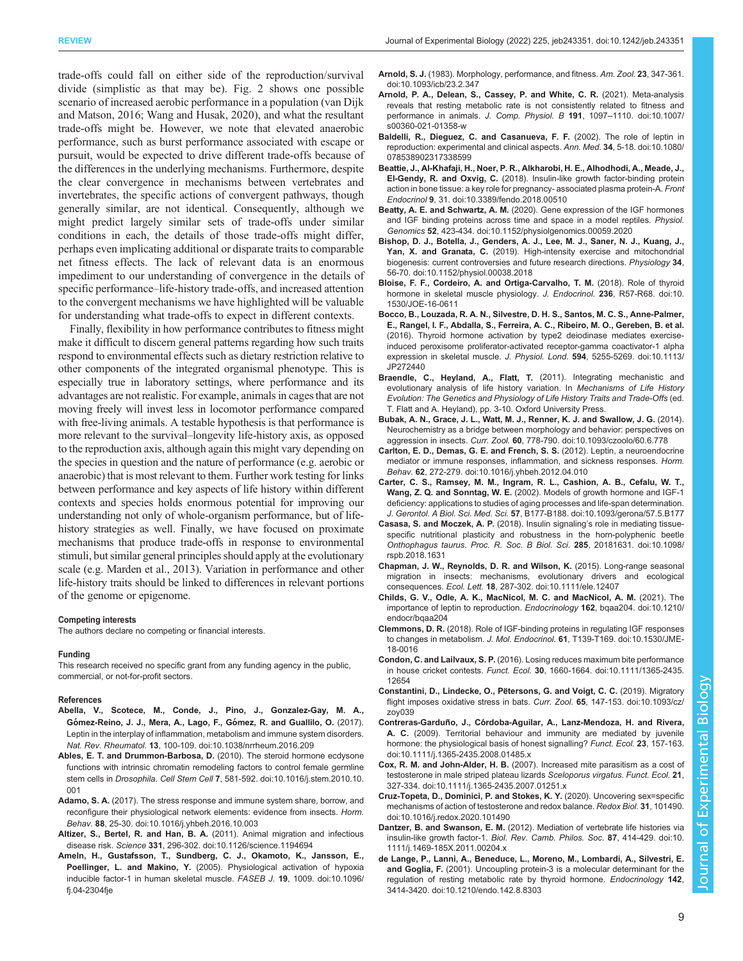<span id="page-8-0"></span>trade-offs could fall on either side of the reproduction/survival divide (simplistic as that may be). [Fig. 2](#page-7-0) shows one possible scenario of increased aerobic performance in a population ([van Dijk](#page-11-0) [and Matson, 2016; Wang and Husak, 2020\)](#page-11-0), and what the resultant trade-offs might be. However, we note that elevated anaerobic performance, such as burst performance associated with escape or pursuit, would be expected to drive different trade-offs because of the differences in the underlying mechanisms. Furthermore, despite the clear convergence in mechanisms between vertebrates and invertebrates, the specific actions of convergent pathways, though generally similar, are not identical. Consequently, although we might predict largely similar sets of trade-offs under similar conditions in each, the details of those trade-offs might differ, perhaps even implicating additional or disparate traits to comparable net fitness effects. The lack of relevant data is an enormous impediment to our understanding of convergence in the details of specific performance–life-history trade-offs, and increased attention to the convergent mechanisms we have highlighted will be valuable for understanding what trade-offs to expect in different contexts.

Finally, flexibility in how performance contributes to fitness might make it difficult to discern general patterns regarding how such traits respond to environmental effects such as dietary restriction relative to other components of the integrated organismal phenotype. This is especially true in laboratory settings, where performance and its advantages are not realistic. For example, animals in cages that are not moving freely will invest less in locomotor performance compared with free-living animals. A testable hypothesis is that performance is more relevant to the survival–longevity life-history axis, as opposed to the reproduction axis, although again this might vary depending on the species in question and the nature of performance (e.g. aerobic or anaerobic) that is most relevant to them. Further work testing for links between performance and key aspects of life history within different contexts and species holds enormous potential for improving our understanding not only of whole-organism performance, but of lifehistory strategies as well. Finally, we have focused on proximate mechanisms that produce trade-offs in response to environmental stimuli, but similar general principles should apply at the evolutionary scale (e.g. [Marden et al., 2013](#page-10-0)). Variation in performance and other life-history traits should be linked to differences in relevant portions of the genome or epigenome.

#### Competing interests

The authors declare no competing or financial interests.

#### Funding

This research received no specific grant from any funding agency in the public, commercial, or not-for-profit sectors.

#### References

- [Abella, V., Scotece, M., Conde, J., Pino, J., Gonzalez-Gay, M. A.,](https://doi.org/10.1038/nrrheum.2016.209) Gómez-Reino, J. J., Mera, A., Lago, F., Gómez, R. and Guallilo, O. (2017). [Leptin in the interplay of inflammation, metabolism and immune system disorders.](https://doi.org/10.1038/nrrheum.2016.209) Nat. Rev. Rheumatol. 13[, 100-109. doi:10.1038/nrrheum.2016.209](https://doi.org/10.1038/nrrheum.2016.209)
- [Ables, E. T. and Drummon-Barbosa, D.](https://doi.org/10.1016/j.stem.2010.10.001) (2010). The steroid hormone ecdysone [functions with intrinsic chromatin remodeling factors to control female germline](https://doi.org/10.1016/j.stem.2010.10.001) stem cells in Drosophila. Cell Stem Cell 7[, 581-592. doi:10.1016/j.stem.2010.10.](https://doi.org/10.1016/j.stem.2010.10.001) [001](https://doi.org/10.1016/j.stem.2010.10.001)
- Adamo, S. A. [\(2017\). The stress response and immune system share, borrow, and](https://doi.org/10.1016/j.yhbeh.2016.10.003) [reconfigure their physiological network elements: evidence from insects.](https://doi.org/10.1016/j.yhbeh.2016.10.003) Horm. Behav. 88[, 25-30. doi:10.1016/j.yhbeh.2016.10.003](https://doi.org/10.1016/j.yhbeh.2016.10.003)
- Altizer, S., Bertel, R. and Han, B. A. [\(2011\). Animal migration and infectious](https://doi.org/10.1126/science.1194694) disease risk. Science 331[, 296-302. doi:10.1126/science.1194694](https://doi.org/10.1126/science.1194694)
- [Ameln, H., Gustafsson, T., Sundberg, C. J., Okamoto, K., Jansson, E.,](https://doi.org/10.1096/fj.04-2304fje) Poellinger, L. and Makino, Y. [\(2005\). Physiological activation of hypoxia](https://doi.org/10.1096/fj.04-2304fje) [inducible factor-1 in human skeletal muscle.](https://doi.org/10.1096/fj.04-2304fje) FASEB J. 19, 1009. doi:10.1096/ [fj.04-2304fje](https://doi.org/10.1096/fj.04-2304fje)
- Arnold, S. J. [\(1983\). Morphology, performance, and fitness.](https://doi.org/10.1093/icb/23.2.347) Am. Zool. 23, 347-361. [doi:10.1093/icb/23.2.347](https://doi.org/10.1093/icb/23.2.347)
- [Arnold, P. A., Delean, S., Cassey, P. and White, C. R.](https://doi.org/10.1007/s00360-021-01358-w) (2021). Meta-analysis [reveals that resting metabolic rate is not consistently related to fitness and](https://doi.org/10.1007/s00360-021-01358-w) [performance in animals.](https://doi.org/10.1007/s00360-021-01358-w) J. Comp. Physiol. B 191, 1097–1110. doi:10.1007/ [s00360-021-01358-w](https://doi.org/10.1007/s00360-021-01358-w)
- [Baldelli, R., Dieguez, C. and Casanueva, F. F.](https://doi.org/10.1080/078538902317338599) (2002). The role of leptin in [reproduction: experimental and clinical aspects.](https://doi.org/10.1080/078538902317338599) Ann. Med. 34, 5-18. doi:10.1080/ [078538902317338599](https://doi.org/10.1080/078538902317338599)
- [Beattie, J., Al-Khafaji, H., Noer, P. R., Alkharobi, H. E., Alhodhodi, A., Meade, J.,](https://doi.org/10.3389/fendo.2018.00510) El-Gendy, R. and Oxvig, C. [\(2018\). Insulin-like growth factor-binding protein](https://doi.org/10.3389/fendo.2018.00510) [action in bone tissue: a key role for pregnancy- associated plasma protein-A.](https://doi.org/10.3389/fendo.2018.00510) Front Endocrinol 9[, 31. doi:10.3389/fendo.2018.00510](https://doi.org/10.3389/fendo.2018.00510)
- Beatty, A. E. and Schwartz, A. M. [\(2020\). Gene expression of the IGF hormones](https://doi.org/10.1152/physiolgenomics.00059.2020) [and IGF binding proteins across time and space in a model reptiles.](https://doi.org/10.1152/physiolgenomics.00059.2020) Physiol. Genomics 52[, 423-434. doi:10.1152/physiolgenomics.00059.2020](https://doi.org/10.1152/physiolgenomics.00059.2020)
- [Bishop, D. J., Botella, J., Genders, A. J., Lee, M. J., Saner, N. J., Kuang, J.,](https://doi.org/10.1152/physiol.00038.2018) Yan, X. and Granata, C. [\(2019\). High-intensity exercise and mitochondrial](https://doi.org/10.1152/physiol.00038.2018) [biogenesis: current controversies and future research directions.](https://doi.org/10.1152/physiol.00038.2018) Physiology 34, [56-70. doi:10.1152/physiol.00038.2018](https://doi.org/10.1152/physiol.00038.2018)
- [Bloise, F. F., Cordeiro, A. and Ortiga-Carvalho, T. M.](https://doi.org/10.1530/JOE-16-0611) (2018). Role of thyroid [hormone in skeletal muscle physiology.](https://doi.org/10.1530/JOE-16-0611) J. Endocrinol. 236, R57-R68. doi:10. [1530/JOE-16-0611](https://doi.org/10.1530/JOE-16-0611)
- [Bocco, B., Louzada, R. A. N., Silvestre, D. H. S., Santos, M. C. S., Anne-Palmer,](https://doi.org/10.1113/JP272440) [E., Rangel, I. F., Abdalla, S., Ferreira, A. C., Ribeiro, M. O., Gereben, B. et al.](https://doi.org/10.1113/JP272440) [\(2016\). Thyroid hormone activation by type2 deiodinase mediates exercise](https://doi.org/10.1113/JP272440)[induced peroxisome proliferator-activated receptor-gamma coactivator-1 alpha](https://doi.org/10.1113/JP272440) [expression in skeletal muscle.](https://doi.org/10.1113/JP272440) J. Physiol. Lond. 594, 5255-5269. doi:10.1113/ [JP272440](https://doi.org/10.1113/JP272440)
- Braendle, C., Heyland, A., Flatt, T. (2011). Integrating mechanistic and evolutionary analysis of life history variation. In Mechanisms of Life History Evolution: The Genetics and Physiology of Life History Traits and Trade-Offs (ed. T. Flatt and A. Heyland), pp. 3-10. Oxford University Press.
- [Bubak, A. N., Grace, J. L., Watt, M. J., Renner, K. J. and Swallow, J. G.](https://doi.org/10.1093/czoolo/60.6.778) (2014). [Neurochemistry as a bridge between morphology and behavior: perspectives on](https://doi.org/10.1093/czoolo/60.6.778) aggression in insects. Curr. Zool. 60[, 778-790. doi:10.1093/czoolo/60.6.778](https://doi.org/10.1093/czoolo/60.6.778)
- [Carlton, E. D., Demas, G. E. and French, S. S.](https://doi.org/10.1016/j.yhbeh.2012.04.010) (2012). Leptin, a neuroendocrine [mediator or immune responses, inflammation, and sickness responses.](https://doi.org/10.1016/j.yhbeh.2012.04.010) Horm. Behav. 62[, 272-279. doi:10.1016/j.yhbeh.2012.04.010](https://doi.org/10.1016/j.yhbeh.2012.04.010)
- [Carter, C. S., Ramsey, M. M., Ingram, R. L., Cashion, A. B., Cefalu, W. T.,](https://doi.org/10.1093/gerona/57.5.B177) Wang, Z. Q. and Sonntag, W. E. [\(2002\). Models of growth hormone and IGF-1](https://doi.org/10.1093/gerona/57.5.B177) [deficiency: applications to studies of aging processes and life-span determination.](https://doi.org/10.1093/gerona/57.5.B177) J. Gerontol. A Biol. Sci. Med. Sci. 57[, B177-B188. doi:10.1093/gerona/57.5.B177](https://doi.org/10.1093/gerona/57.5.B177)
- [Casasa, S. and Moczek, A. P.](https://doi.org/10.1098/rspb.2018.1631) (2018). Insulin signaling's role in mediating tissue[specific nutritional plasticity and robustness in the horn-polyphenic beetle](https://doi.org/10.1098/rspb.2018.1631) Onthophagus taurus. [Proc. R. Soc. B Biol. Sci.](https://doi.org/10.1098/rspb.2018.1631) 285, 20181631. doi:10.1098/ [rspb.2018.1631](https://doi.org/10.1098/rspb.2018.1631)
- [Chapman, J. W., Reynolds, D. R. and Wilson, K.](https://doi.org/10.1111/ele.12407) (2015). Long-range seasonal [migration in insects: mechanisms, evolutionary drivers and ecological](https://doi.org/10.1111/ele.12407) consequences. Ecol. Lett. 18[, 287-302. doi:10.1111/ele.12407](https://doi.org/10.1111/ele.12407)
- [Childs, G. V., Odle, A. K., MacNicol, M. C. and MacNicol, A. M.](https://doi.org/10.1210/endocr/bqaa204) (2021). The [importance of leptin to reproduction.](https://doi.org/10.1210/endocr/bqaa204) Endocrinology 162, bqaa204. doi:10.1210/ endocr/bgaa204
- Clemmons, D. R. [\(2018\). Role of IGF-binding proteins in regulating IGF responses](https://doi.org/10.1530/JME-18-0016) to changes in metabolism. J. Mol. Endocrinol. 61[, T139-T169. doi:10.1530/JME-](https://doi.org/10.1530/JME-18-0016)[18-0016](https://doi.org/10.1530/JME-18-0016)
- Condon, C. and Lailvaux, S. P. [\(2016\). Losing reduces maximum bite performance](https://doi.org/10.1111/1365-2435.12654) in house cricket contests. Funct. Ecol. 30[, 1660-1664. doi:10.1111/1365-2435.](https://doi.org/10.1111/1365-2435.12654) [12654](https://doi.org/10.1111/1365-2435.12654)
- Constantini, D., Lindecke, O., Pëtersons, G. and Voigt, C. C. (2019). Migratory [flight imposes oxidative stress in bats.](https://doi.org/10.1093/cz/zoy039) Curr. Zool. 65, 147-153. doi:10.1093/cz/ [zoy039](https://doi.org/10.1093/cz/zoy039)
- Contreras-Garduño, J., Có[rdoba-Aguilar, A., Lanz-Mendoza, H. and Rivera,](https://doi.org/10.1111/j.1365-2435.2008.01485.x) A. C. [\(2009\). Territorial behaviour and immunity are mediated by juvenile](https://doi.org/10.1111/j.1365-2435.2008.01485.x) [hormone: the physiological basis of honest signalling?](https://doi.org/10.1111/j.1365-2435.2008.01485.x) Funct. Ecol. 23, 157-163. [doi:10.1111/j.1365-2435.2008.01485.x](https://doi.org/10.1111/j.1365-2435.2008.01485.x)
- Cox, R. M. and John-Alder, H. B. [\(2007\). Increased mite parasitism as a cost of](https://doi.org/10.1111/j.1365-2435.2007.01251.x) [testosterone in male striped plateau lizards](https://doi.org/10.1111/j.1365-2435.2007.01251.x) Sceloporus virgatus. Funct. Ecol. 21, [327-334. doi:10.1111/j.1365-2435.2007.01251.x](https://doi.org/10.1111/j.1365-2435.2007.01251.x)
- [Cruz-Topeta, D., Dominici, P. and Stokes, K. Y.](https://doi.org/10.1016/j.redox.2020.101490) (2020). Uncovering sex=specific [mechanisms of action of testosterone and redox balance.](https://doi.org/10.1016/j.redox.2020.101490) Redox Biol. 31, 101490. [doi:10.1016/j.redox.2020.101490](https://doi.org/10.1016/j.redox.2020.101490)
- Dantzer, B. and Swanson, E. M. [\(2012\). Mediation of vertebrate life histories via](https://doi.org/10.1111/j.1469-185X.2011.00204.x) insulin-like growth factor-1. [Biol. Rev. Camb. Philos. Soc.](https://doi.org/10.1111/j.1469-185X.2011.00204.x) 87, 414-429. doi:10. [1111/j.1469-185X.2011.00204.x](https://doi.org/10.1111/j.1469-185X.2011.00204.x)
- [de Lange, P., Lanni, A., Beneduce, L., Moreno, M., Lombardi, A., Silvestri, E.](https://doi.org/10.1210/endo.142.8.8303) and Goglia, F. [\(2001\). Uncoupling protein-3 is a molecular determinant for the](https://doi.org/10.1210/endo.142.8.8303) [regulation of resting metabolic rate by thyroid hormone.](https://doi.org/10.1210/endo.142.8.8303) Endocrinology 142, [3414-3420. doi:10.1210/endo.142.8.8303](https://doi.org/10.1210/endo.142.8.8303)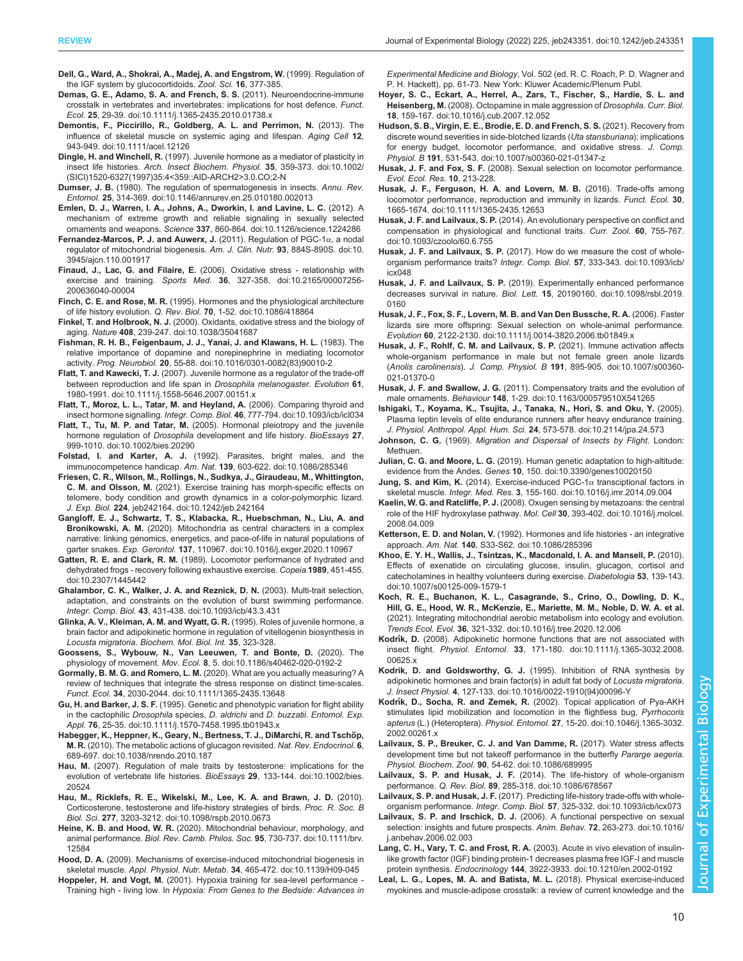<span id="page-9-0"></span>Dell, G., Ward, A., Shokrai, A., Madej, A. and Engstrom, W. (1999). Regulation of the IGF system by glucocortidoids. Zool. Sci. 16, 377-385.

- [Demas, G. E., Adamo, S. A. and French, S. S.](https://doi.org/10.1111/j.1365-2435.2010.01738.x) (2011). Neuroendocrine-immune [crosstalk in vertebrates and invertebrates: implications for host defence.](https://doi.org/10.1111/j.1365-2435.2010.01738.x) Funct. Ecol. 25[, 29-39. doi:10.1111/j.1365-2435.2010.01738.x](https://doi.org/10.1111/j.1365-2435.2010.01738.x)
- [Demontis, F., Piccirillo, R., Goldberg, A. L. and Perrimon, N.](https://doi.org/10.1111/acel.12126) (2013). The [influence of skeletal muscle on systemic aging and lifespan.](https://doi.org/10.1111/acel.12126) Aging Cell 12, [943-949. doi:10.1111/acel.12126](https://doi.org/10.1111/acel.12126)
- Dingle, H. and Winchell, R. [\(1997\). Juvenile hormone as a mediator of plasticity in](https://doi.org/10.1002/(SICI)1520-6327(1997)35:4%3C359::AID-ARCH2%3E3.0.CO;2-N) insect life histories. [Arch. Insect Biochem. Physiol.](https://doi.org/10.1002/(SICI)1520-6327(1997)35:4%3C359::AID-ARCH2%3E3.0.CO;2-N) 35, 359-373. doi:10.1002/ [\(SICI\)1520-6327\(1997\)35:4<359::AID-ARCH2>3.0.CO;2-N](https://doi.org/10.1002/(SICI)1520-6327(1997)35:4%3C359::AID-ARCH2%3E3.0.CO;2-N)
- Dumser, J. B. [\(1980\). The regulation of spermatogenesis in insects.](https://doi.org/10.1146/annurev.en.25.010180.002013) Annu. Rev. Entomol. 25[, 314-369. doi:10.1146/annurev.en.25.010180.002013](https://doi.org/10.1146/annurev.en.25.010180.002013)
- [Emlen, D. J., Warren, I. A., Johns, A., Dworkin, I. and Lavine, L. C.](https://doi.org/10.1126/science.1224286) (2012). A [mechanism of extreme growth and reliable signaling in sexually selected](https://doi.org/10.1126/science.1224286) ornaments and weapons. Science 337[, 860-864. doi:10.1126/science.1224286](https://doi.org/10.1126/science.1224286)
- [Fernandez-Marcos, P. J. and Auwerx, J.](https://doi.org/10.3945/ajcn.110.001917) (2011). Regulation of PGC-1α, a nodal [regulator of mitochondrial biogenesis.](https://doi.org/10.3945/ajcn.110.001917) Am. J. Clin. Nutr. 93, 884S-890S. doi:10. [3945/ajcn.110.001917](https://doi.org/10.3945/ajcn.110.001917)
- Finaud, J., Lac, G. and Filaire, E. [\(2006\). Oxidative stress relationship with](https://doi.org/10.2165/00007256-200636040-00004) exercise and training. Sports Med. 36[, 327-358. doi:10.2165/00007256-](https://doi.org/10.2165/00007256-200636040-00004) [200636040-00004](https://doi.org/10.2165/00007256-200636040-00004)
- Finch, C. E. and Rose, M. R. [\(1995\). Hormones and the physiological architecture](https://doi.org/10.1086/418864) of life history evolution. Q. Rev. Biol. 70[, 1-52. doi:10.1086/418864](https://doi.org/10.1086/418864)
- Finkel, T. and Holbrook, N. J. [\(2000\). Oxidants, oxidative stress and the biology of](https://doi.org/10.1038/35041687) aging. Nature 408[, 239-247. doi:10.1038/35041687](https://doi.org/10.1038/35041687)
- [Fishman, R. H. B., Feigenbaum, J. J., Yanai, J. and Klawans, H. L.](https://doi.org/10.1016/0301-0082(83)90010-2) (1983). The [relative importance of dopamine and norepinephrine in mediating locomotor](https://doi.org/10.1016/0301-0082(83)90010-2) activity. Prog. Neurobiol. 20[, 55-88. doi:10.1016/0301-0082\(83\)90010-2](https://doi.org/10.1016/0301-0082(83)90010-2)
- Flatt, T. and Kawecki, T. J. [\(2007\). Juvenile hormone as a regulator of the trade-off](https://doi.org/10.1111/j.1558-5646.2007.00151.x) [between reproduction and life span in](https://doi.org/10.1111/j.1558-5646.2007.00151.x) Drosophila melanogaster. Evolution 61, [1980-1991. doi:10.1111/j.1558-5646.2007.00151.x](https://doi.org/10.1111/j.1558-5646.2007.00151.x)
- [Flatt, T., Moroz, L. L., Tatar, M. and Heyland, A.](https://doi.org/10.1093/icb/icl034) (2006). Comparing thyroid and insect hormone signalling. Integr. Comp. Biol. 46[, 777-794. doi:10.1093/icb/icl034](https://doi.org/10.1093/icb/icl034)
- Flatt, T., Tu, M. P. and Tatar, M. [\(2005\). Hormonal pleiotropy and the juvenile](https://doi.org/10.1002/bies.20290) hormone regulation of Drosophila [development and life history.](https://doi.org/10.1002/bies.20290) BioEssays 27, [999-1010. doi:10.1002/bies.20290](https://doi.org/10.1002/bies.20290)
- Folstad, I. and Karter, A. J. [\(1992\). Parasites, bright males, and the](https://doi.org/10.1086/285346) [immunocompetence handicap.](https://doi.org/10.1086/285346) Am. Nat. 139, 603-622. doi:10.1086/285346
- [Friesen, C. R., Wilson, M., Rollings, N., Sudkya, J., Giraudeau, M., Whittington,](https://doi.org/10.1242/jeb.242164) C. M. and Olsson, M. [\(2021\). Exercise training has morph-specific effects on](https://doi.org/10.1242/jeb.242164) [telomere, body condition and growth dynamics in a color-polymorphic lizard.](https://doi.org/10.1242/jeb.242164) J. Exp. Biol. 224[, jeb242164. doi:10.1242/jeb.242164](https://doi.org/10.1242/jeb.242164)
- [Gangloff, E. J., Schwartz, T. S., Klabacka, R., Huebschman, N., Liu, A. and](https://doi.org/10.1016/j.exger.2020.110967) Bronikowski, A. M. [\(2020\). Mitochondria as central characters in a complex](https://doi.org/10.1016/j.exger.2020.110967) [narrative: linking genomics, energetics, and pace-of-life in natural populations of](https://doi.org/10.1016/j.exger.2020.110967) garter snakes. Exp. Gerontol. 137[, 110967. doi:10.1016/j.exger.2020.110967](https://doi.org/10.1016/j.exger.2020.110967)
- Gatten, R. E. and Clark, R. M. [\(1989\). Locomotor performance of hydrated and](https://doi.org/10.2307/1445442) [dehydrated frogs - recovery following exhaustive exercise.](https://doi.org/10.2307/1445442) Copeia 1989, 451-455. [doi:10.2307/1445442](https://doi.org/10.2307/1445442)
- [Ghalambor, C. K., Walker, J. A. and Reznick, D. N.](https://doi.org/10.1093/icb/43.3.431) (2003). Multi-trait selection, [adaptation, and constraints on the evolution of burst swimming performance.](https://doi.org/10.1093/icb/43.3.431) Integr. Comp. Biol. 43[, 431-438. doi:10.1093/icb/43.3.431](https://doi.org/10.1093/icb/43.3.431)
- Glinka, A. V., Kleiman, A. M. and Wyatt, G. R. (1995). Roles of juvenile hormone, a brain factor and adipokinetic hormone in regulation of vitellogenin biosynthesis in Locusta migratoria. Biochem. Mol. Biol. Int. 35, 323-328.
- [Goossens, S., Wybouw, N., Van Leeuwen, T. and Bonte, D.](https://doi.org/10.1186/s40462-020-0192-2) (2020). The physiology of movement. Mov. Ecol. 8[, 5. doi:10.1186/s40462-020-0192-2](https://doi.org/10.1186/s40462-020-0192-2)
- Gormally, B. M. G. and Romero, L. M. [\(2020\). What are you actually measuring? A](https://doi.org/10.1111/1365-2435.13648) [review of techniques that integrate the stress response on distinct time-scales.](https://doi.org/10.1111/1365-2435.13648) Funct. Ecol. 34[, 2030-2044. doi:10.1111/1365-2435.13648](https://doi.org/10.1111/1365-2435.13648)
- Gu, H. and Barker, J. S. F. [\(1995\). Genetic and phenotypic variation for flight ability](https://doi.org/10.1111/j.1570-7458.1995.tb01943.x) [in the cactophilic](https://doi.org/10.1111/j.1570-7458.1995.tb01943.x) Drosophila species, D. aldrichi and D. buzzatii. Entomol. Exp. Appl. 76[, 25-35. doi:10.1111/j.1570-7458.1995.tb01943.x](https://doi.org/10.1111/j.1570-7458.1995.tb01943.x)
- Habegger, K., Heppner, K., Geary, N., Bertness, T. J., DiMarchi, R. and Tschöp, M. R. [\(2010\). The metabolic actions of glucagon revisited.](https://doi.org/10.1038/nrendo.2010.187) Nat. Rev. Endocrinol. 6, [689-697. doi:10.1038/nrendo.2010.187](https://doi.org/10.1038/nrendo.2010.187)
- Hau, M. [\(2007\). Regulation of male traits by testosterone: implications for the](https://doi.org/10.1002/bies.20524) [evolution of vertebrate life histories.](https://doi.org/10.1002/bies.20524) BioEssays 29, 133-144. doi:10.1002/bies. [20524](https://doi.org/10.1002/bies.20524)
- [Hau, M., Ricklefs, R. E., Wikelski, M., Lee, K. A. and Brawn, J. D.](https://doi.org/10.1098/rspb.2010.0673) (2010). [Corticosterone, testosterone and life-history strategies of birds.](https://doi.org/10.1098/rspb.2010.0673) Proc. R. Soc. B Biol. Sci. 277[, 3203-3212. doi:10.1098/rspb.2010.0673](https://doi.org/10.1098/rspb.2010.0673)
- Heine, K. B. and Hood, W. R. [\(2020\). Mitochondrial behaviour, morphology, and](https://doi.org/10.1111/brv.12584) animal performance. [Biol. Rev. Camb. Philos. Soc.](https://doi.org/10.1111/brv.12584) 95, 730-737. doi:10.1111/brv. [12584](https://doi.org/10.1111/brv.12584)
- Hood, D. A. [\(2009\). Mechanisms of exercise-induced mitochondrial biogenesis in](https://doi.org/10.1139/H09-045) skeletal muscle. Appl. Physiol. Nutr. Metab. 34[, 465-472. doi:10.1139/H09-045](https://doi.org/10.1139/H09-045)
- Hoppeler, H. and Vogt, M. (2001). Hypoxia training for sea-level performance Training high - living low. In Hypoxia: From Genes to the Bedside: Advances in

Experimental Medicine and Biology, Vol. 502 (ed. R. C. Roach, P. D. Wagner and P. H. Hackett), pp. 61-73. New York: Kluwer Academic/Plenum Publ.

- [Hoyer, S. C., Eckart, A., Herrel, A., Zars, T., Fischer, S., Hardie, S. L. and](https://doi.org/10.1016/j.cub.2007.12.052) Heisenberg, M. [\(2008\). Octopamine in male aggression of](https://doi.org/10.1016/j.cub.2007.12.052) Drosophila. Curr. Biol. 18[, 159-167. doi:10.1016/j.cub.2007.12.052](https://doi.org/10.1016/j.cub.2007.12.052)
- [Hudson, S. B., Virgin, E. E., Brodie, E. D. and French, S. S.](https://doi.org/10.1007/s00360-021-01347-z) (2021). Recovery from [discrete wound severities in side-blotched lizards \(](https://doi.org/10.1007/s00360-021-01347-z)Uta stansburiana): implications [for energy budget, locomotor performance, and oxidative stress.](https://doi.org/10.1007/s00360-021-01347-z) J. Comp. Physiol. B 191[, 531-543. doi:10.1007/s00360-021-01347-z](https://doi.org/10.1007/s00360-021-01347-z)
- Husak, J. F. and Fox, S. F. (2008). Sexual selection on locomotor performance. Evol. Ecol. Res. 10, 213-228.
- [Husak, J. F., Ferguson, H. A. and Lovern, M. B.](https://doi.org/10.1111/1365-2435.12653) (2016). Trade-offs among [locomotor performance, reproduction and immunity in lizards.](https://doi.org/10.1111/1365-2435.12653) Funct. Ecol. 30, [1665-1674. doi:10.1111/1365-2435.12653](https://doi.org/10.1111/1365-2435.12653)
- Husak, J. F. and Lailvaux, S. P. [\(2014\). An evolutionary perspective on conflict and](https://doi.org/10.1093/czoolo/60.6.755) [compensation in physiological and functional traits.](https://doi.org/10.1093/czoolo/60.6.755) Curr. Zool. 60, 755-767. [doi:10.1093/czoolo/60.6.755](https://doi.org/10.1093/czoolo/60.6.755)
- Husak, J. F. and Lailvaux, S. P. [\(2017\). How do we measure the cost of whole](https://doi.org/10.1093/icb/icx048)[organism performance traits?](https://doi.org/10.1093/icb/icx048) Integr. Comp. Biol. 57, 333-343. doi:10.1093/icb/ [icx048](https://doi.org/10.1093/icb/icx048)
- Husak, J. F. and Lailvaux, S. P. [\(2019\). Experimentally enhanced performance](https://doi.org/10.1098/rsbl.2019.0160) decreases survival in nature. Biol. Lett. 15[, 20190160. doi:10.1098/rsbl.2019.](https://doi.org/10.1098/rsbl.2019.0160) [0160](https://doi.org/10.1098/rsbl.2019.0160)
- [Husak, J. F., Fox, S. F., Lovern, M. B. and Van Den Bussche, R. A.](https://doi.org/10.1111/j.0014-3820.2006.tb01849.x) (2006). Faster [lizards sire more offspring: Sexual selection on whole-animal performance.](https://doi.org/10.1111/j.0014-3820.2006.tb01849.x) Evolution 60[, 2122-2130. doi:10.1111/j.0014-3820.2006.tb01849.x](https://doi.org/10.1111/j.0014-3820.2006.tb01849.x)
- [Husak, J. F., Rohlf, C. M. and Lailvaux, S. P.](https://doi.org/10.1007/s00360-021-01370-0) (2021). Immune activation affects [whole-organism performance in male but not female green anole lizards](https://doi.org/10.1007/s00360-021-01370-0) (Anolis carolinensis). J. Comp. Physiol. B 191[, 895-905. doi:10.1007/s00360-](https://doi.org/10.1007/s00360-021-01370-0) [021-01370-0](https://doi.org/10.1007/s00360-021-01370-0)
- Husak, J. F. and Swallow, J. G. [\(2011\). Compensatory traits and the evolution of](https://doi.org/10.1163/000579510X541265) male ornaments. Behaviour 148[, 1-29. doi:10.1163/000579510X541265](https://doi.org/10.1163/000579510X541265)
- [Ishigaki, T., Koyama, K., Tsujita, J., Tanaka, N., Hori, S. and Oku, Y.](https://doi.org/10.2114/jpa.24.573) (2005). [Plasma leptin levels of elite endurance runners after heavy endurance training.](https://doi.org/10.2114/jpa.24.573) [J. Physiol. Anthropol. Appl. Hum. Sci.](https://doi.org/10.2114/jpa.24.573) 24, 573-578. doi:10.2114/jpa.24.573
- Johnson, C. G. (1969). Migration and Dispersal of Insects by Flight. London: Methuen.
- Julian, C. G. and Moore, L. G. [\(2019\). Human genetic adaptation to high-altitude:](https://doi.org/10.3390/genes10020150) evidence from the Andes. Genes 10[, 150. doi:10.3390/genes10020150](https://doi.org/10.3390/genes10020150)
- Jung, S. and Kim, K. [\(2014\). Exercise-induced PGC-1](https://doi.org/10.1016/j.imr.2014.09.004) $\alpha$  transciptional factors in skeletal muscle. Integr. Med. Res. 3[, 155-160. doi:10.1016/j.imr.2014.09.004](https://doi.org/10.1016/j.imr.2014.09.004)
- Kaelin, W. G. and Ratcliffe, P. J. [\(2008\). Oxugen sensing by metazoans: the central](https://doi.org/10.1016/j.molcel.2008.04.009) [role of the HIF hydroxylase pathway.](https://doi.org/10.1016/j.molcel.2008.04.009) Mol. Cell 30, 393-402. doi:10.1016/j.molcel. [2008.04.009](https://doi.org/10.1016/j.molcel.2008.04.009)
- Ketterson, E. D. and Nolan, V. [\(1992\). Hormones and life histories an integrative](https://doi.org/10.1086/285396) approach. Am. Nat. 140[, S33-S62. doi:10.1086/285396](https://doi.org/10.1086/285396)
- [Khoo, E. Y. H., Wallis, J., Tsintzas, K., Macdonald, I. A. and Mansell, P.](https://doi.org/10.1007/s00125-009-1579-1) (2010). [Effects of exenatide on circulating glucose, insulin, glucagon, cortisol and](https://doi.org/10.1007/s00125-009-1579-1) [catecholamines in healthy volunteers during exercise.](https://doi.org/10.1007/s00125-009-1579-1) Diabetologia 53, 139-143. [doi:10.1007/s00125-009-1579-1](https://doi.org/10.1007/s00125-009-1579-1)
- [Koch, R. E., Buchanon, K. L., Casagrande, S., Crino, O., Dowling, D. K.,](https://doi.org/10.1016/j.tree.2020.12.006) [Hill, G. E., Hood, W. R., McKenzie, E., Mariette, M. M., Noble, D. W. A. et al.](https://doi.org/10.1016/j.tree.2020.12.006) [\(2021\). Integrating mitochondrial aerobic metabolism into ecology and evolution.](https://doi.org/10.1016/j.tree.2020.12.006) Trends Ecol. Evol. 36[, 321-332. doi:10.1016/j.tree.2020.12.006](https://doi.org/10.1016/j.tree.2020.12.006)
- Kodrík, D. [\(2008\). Adipokinetic hormone functions that are not associated with](https://doi.org/10.1111/j.1365-3032.2008.00625.x) insect flight. Physiol. Entomol. 33[, 171-180. doi:10.1111/j.1365-3032.2008.](https://doi.org/10.1111/j.1365-3032.2008.00625.x) [00625.x](https://doi.org/10.1111/j.1365-3032.2008.00625.x)
- Kodrik, D. and Goldsworthy, G. J. [\(1995\). Inhibition of RNA synthesis by](https://doi.org/10.1016/0022-1910(94)00096-Y) [adipokinetic hormones and brain factor\(s\) in adult fat body of](https://doi.org/10.1016/0022-1910(94)00096-Y) Locusta migratoria. J. Insect Physiol. 4[, 127-133. doi:10.1016/0022-1910\(94\)00096-Y](https://doi.org/10.1016/0022-1910(94)00096-Y)
- Kodrík, D., Socha, R. and Zemek, R. [\(2002\). Topical application of Pya-AKH](https://doi.org/10.1046/j.1365-3032.2002.00261.x) [stimulates lipid mobilization and locomotion in the flightless bug,](https://doi.org/10.1046/j.1365-3032.2002.00261.x) Pyrrhocoris apterus (L.) (Heteroptera). Physiol. Entomol. 27[, 15-20. doi:10.1046/j.1365-3032.](https://doi.org/10.1046/j.1365-3032.2002.00261.x) [2002.00261.x](https://doi.org/10.1046/j.1365-3032.2002.00261.x)
- [Lailvaux, S. P., Breuker, C. J. and Van Damme, R.](https://doi.org/10.1086/689995) (2017). Water stress affects [development time but not takeoff performance in the butterfly](https://doi.org/10.1086/689995) Pararge aegeria. Physiol. Biochem. Zool. 90[, 54-62. doi:10.1086/689995](https://doi.org/10.1086/689995)
- Lailvaux, S. P. and Husak, J. F. [\(2014\). The life-history of whole-organism](https://doi.org/10.1086/678567) performance. Q. Rev. Biol. 89[, 285-318. doi:10.1086/678567](https://doi.org/10.1086/678567)
- Lailvaux, S. P. and Husak, J. F. [\(2017\). Predicting life-history trade-offs with whole](https://doi.org/10.1093/icb/icx073)organism performance. Integr. Comp. Biol. 57[, 325-332. doi:10.1093/icb/icx073](https://doi.org/10.1093/icb/icx073)
- Lailvaux, S. P. and Irschick, D. J. [\(2006\). A functional perspective on sexual](https://doi.org/10.1016/j.anbehav.2006.02.003) [selection: insights and future prospects.](https://doi.org/10.1016/j.anbehav.2006.02.003) Anim. Behav. 72, 263-273. doi:10.1016/ [j.anbehav.2006.02.003](https://doi.org/10.1016/j.anbehav.2006.02.003)
- [Lang, C. H., Vary, T. C. and Frost, R. A.](https://doi.org/10.1210/en.2002-0192) (2003). Acute in vivo elevation of insulin[like growth factor \(IGF\) binding protein-1 decreases plasma free IGF-I and muscle](https://doi.org/10.1210/en.2002-0192) protein synthesis. Endocrinology 144[, 3922-3933. doi:10.1210/en.2002-0192](https://doi.org/10.1210/en.2002-0192)
- [Leal, L. G., Lopes, M. A. and Batista, M. L.](https://doi.org/10.3389/fphys.2018.01307) (2018). Physical exercise-induced [myokines and muscle-adipose crosstalk: a review of current knowledge and the](https://doi.org/10.3389/fphys.2018.01307)

<u>Nbol</u> Biol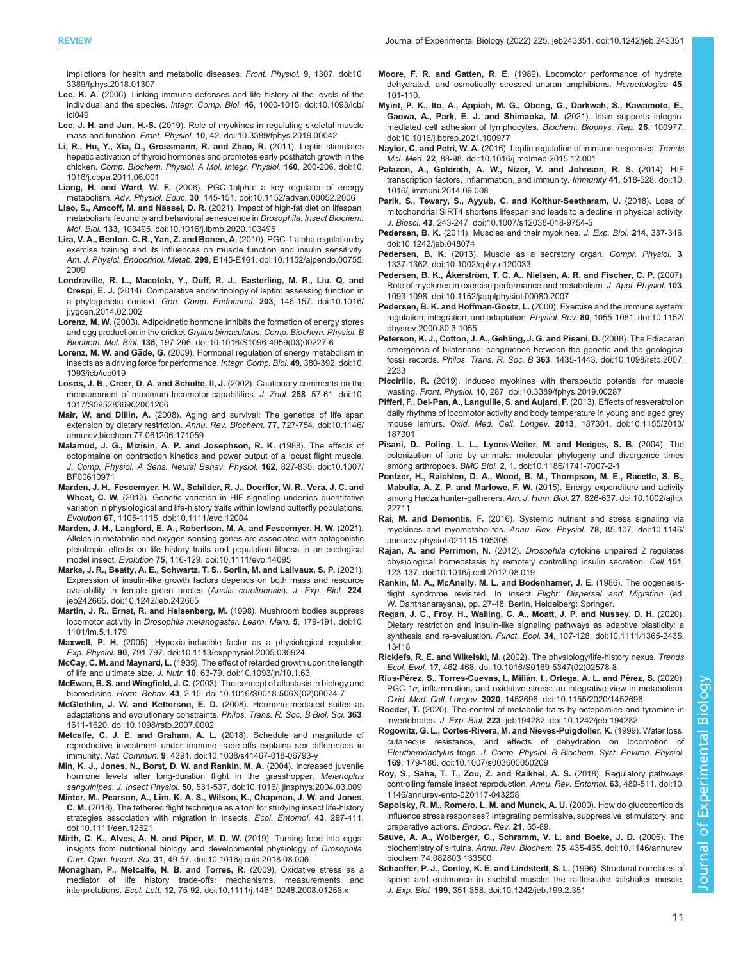<span id="page-10-0"></span>[implictions for health and metabolic diseases.](https://doi.org/10.3389/fphys.2018.01307) Front. Physiol. 9, 1307. doi:10. [3389/fphys.2018.01307](https://doi.org/10.3389/fphys.2018.01307)

- Lee, K. A. [\(2006\). Linking immune defenses and life history at the levels of the](https://doi.org/10.1093/icb/icl049) individual and the species. Integr. Comp. Biol. 46[, 1000-1015. doi:10.1093/icb/](https://doi.org/10.1093/icb/icl049) [icl049](https://doi.org/10.1093/icb/icl049)
- Lee, J. H. and Jun, H.-S. [\(2019\). Role of myokines in regulating skeletal muscle](https://doi.org/10.3389/fphys.2019.00042) mass and function. Front. Physiol. 10[, 42. doi:10.3389/fphys.2019.00042](https://doi.org/10.3389/fphys.2019.00042)
- [Li, R., Hu, Y., Xia, D., Grossmann, R. and Zhao, R.](https://doi.org/10.1016/j.cbpa.2011.06.001) (2011). Leptin stimulates [hepatic activation of thyroid hormones and promotes early posthatch growth in the](https://doi.org/10.1016/j.cbpa.2011.06.001) chicken. [Comp. Biochem. Physiol. A Mol. Integr. Physiol.](https://doi.org/10.1016/j.cbpa.2011.06.001) 160, 200-206. doi:10. [1016/j.cbpa.2011.06.001](https://doi.org/10.1016/j.cbpa.2011.06.001)
- Liang, H. and Ward, W. F. [\(2006\). PGC-1alpha: a key regulator of energy](https://doi.org/10.1152/advan.00052.2006) metabolism. Adv. Physiol. Educ. 30[, 145-151. doi:10.1152/advan.00052.2006](https://doi.org/10.1152/advan.00052.2006)
- Liao, S., Amcoff, M. and Nässel, D. R. [\(2021\). Impact of high-fat diet on lifespan,](https://doi.org/10.1016/j.ibmb.2020.103495) [metabolism, fecundity and behavioral senescence in](https://doi.org/10.1016/j.ibmb.2020.103495) Drosophila. Insect Biochem. Mol. Biol. 133[, 103495. doi:10.1016/j.ibmb.2020.103495](https://doi.org/10.1016/j.ibmb.2020.103495)
- [Lira, V. A., Benton, C. R., Yan, Z. and Bonen, A.](https://doi.org/10.1152/ajpendo.00755.2009) (2010). PGC-1 alpha regulation by [exercise training and its influences on muscle function and insulin sensitivity.](https://doi.org/10.1152/ajpendo.00755.2009) Am. J. Physiol. Endocrinol. Metab. 299[, E145-E161. doi:10.1152/ajpendo.00755.](https://doi.org/10.1152/ajpendo.00755.2009) [2009](https://doi.org/10.1152/ajpendo.00755.2009)
- [Londraville, R. L., Macotela, Y., Duff, R. J., Easterling, M. R., Liu, Q. and](https://doi.org/10.1016/j.ygcen.2014.02.002) Crespi, E. J. [\(2014\). Comparative endocrinology of leptin: assessing function in](https://doi.org/10.1016/j.ygcen.2014.02.002) a phylogenetic context. [Gen. Comp. Endocrinol.](https://doi.org/10.1016/j.ygcen.2014.02.002) 203, 146-157. doi:10.1016/ [j.ygcen.2014.02.002](https://doi.org/10.1016/j.ygcen.2014.02.002)
- Lorenz, M. W. [\(2003\). Adipokinetic hormone inhibits the formation of energy stores](https://doi.org/10.1016/S1096-4959(03)00227-6) [and egg production in the cricket](https://doi.org/10.1016/S1096-4959(03)00227-6) Gryllus bimaculatus. Comp. Biochem. Physiol. B Biochem. Mol. Biol. 136[, 197-206. doi:10.1016/S1096-4959\(03\)00227-6](https://doi.org/10.1016/S1096-4959(03)00227-6)
- Lorenz, M. W. and Gäde, G. [\(2009\). Hormonal regulation of energy metabolism in](https://doi.org/10.1093/icb/icp019) [insects as a driving force for performance.](https://doi.org/10.1093/icb/icp019) Integr. Comp. Biol. 49, 380-392. doi:10. [1093/icb/icp019](https://doi.org/10.1093/icb/icp019)
- [Losos, J. B., Creer, D. A. and Schulte, II, J.](https://doi.org/10.1017/S0952836902001206) (2002). Cautionary comments on the [measurement of maximum locomotor capabilities.](https://doi.org/10.1017/S0952836902001206) J. Zool. 258, 57-61. doi:10. [1017/S0952836902001206](https://doi.org/10.1017/S0952836902001206)
- Mair, W. and Dillin, A. [\(2008\). Aging and survival: The genetics of life span](https://doi.org/10.1146/annurev.biochem.77.061206.171059) [extension by dietary restriction.](https://doi.org/10.1146/annurev.biochem.77.061206.171059) Annu. Rev. Biochem. 77, 727-754. doi:10.1146/ [annurev.biochem.77.061206.171059](https://doi.org/10.1146/annurev.biochem.77.061206.171059)
- [Malamud, J. G., Mizisin, A. P. and Josephson, R. K.](https://doi.org/10.1007/BF00610971) (1988). The effects of [octopmaine on contraction kinetics and power output of a locust flight muscle.](https://doi.org/10.1007/BF00610971) [J. Comp. Physiol. A Sens. Neural Behav. Physiol.](https://doi.org/10.1007/BF00610971) 162, 827-835. doi:10.1007/ [BF00610971](https://doi.org/10.1007/BF00610971)
- [Marden, J. H., Fescemyer, H. W., Schilder, R. J., Doerfler, W. R., Vera, J. C. and](https://doi.org/10.1111/evo.12004) Wheat, C. W. [\(2013\). Genetic variation in HIF signaling underlies quantitative](https://doi.org/10.1111/evo.12004) [variation in physiological and life-history traits within lowland butterfly populations.](https://doi.org/10.1111/evo.12004) Evolution 67[, 1105-1115. doi:10.1111/evo.12004](https://doi.org/10.1111/evo.12004)
- [Marden, J. H., Langford, E. A., Robertson, M. A. and Fescemyer, H. W.](https://doi.org/10.1111/evo.14095) (2021). [Alleles in metabolic and oxygen-sensing genes are associated with antagonistic](https://doi.org/10.1111/evo.14095) [pleiotropic effects on life history traits and population fitness in an ecological](https://doi.org/10.1111/evo.14095) model insect. Evolution 75[, 116-129. doi:10.1111/evo.14095](https://doi.org/10.1111/evo.14095)
- [Marks, J. R., Beatty, A. E., Schwartz, T. S., Sorlin, M. and Lailvaux, S. P.](https://doi.org/10.1242/jeb.242665) (2021). [Expression of insulin-like growth factors depends on both mass and resource](https://doi.org/10.1242/jeb.242665) [availability in female green anoles \(](https://doi.org/10.1242/jeb.242665)Anolis carolinensis). J. Exp. Biol. 224, [jeb242665. doi:10.1242/jeb.242665](https://doi.org/10.1242/jeb.242665)
- [Martin, J. R., Ernst, R. and Heisenberg, M.](https://doi.org/10.1101/lm.5.1.179) (1998). Mushroom bodies suppress locomotor activity in [Drosophila melanogaster](https://doi.org/10.1101/lm.5.1.179). Learn. Mem. 5, 179-191. doi:10. [1101/lm.5.1.179](https://doi.org/10.1101/lm.5.1.179)
- Maxwell, P. H. [\(2005\). Hypoxia-inducible factor as a physiological regulator.](https://doi.org/10.1113/expphysiol.2005.030924) Exp. Physiol. 90[, 791-797. doi:10.1113/expphysiol.2005.030924](https://doi.org/10.1113/expphysiol.2005.030924)
- McCay, C. M. and Maynard, L. [\(1935\). The effect of retarded growth upon the length](https://doi.org/10.1093/jn/10.1.63) of life and ultimate size. J. Nutr. 10[, 63-79. doi:10.1093/jn/10.1.63](https://doi.org/10.1093/jn/10.1.63)
- McEwan, B. S. and Wingfield, J. C. [\(2003\). The concept of allostasis in biology and](https://doi.org/10.1016/S0018-506X(02)00024-7) biomedicine. Horm. Behav. 43[, 2-15. doi:10.1016/S0018-506X\(02\)00024-7](https://doi.org/10.1016/S0018-506X(02)00024-7)
- [McGlothlin, J. W. and Ketterson, E. D.](https://doi.org/10.1098/rstb.2007.0002) (2008). Hormone-mediated suites as [adaptations and evolutionary constraints.](https://doi.org/10.1098/rstb.2007.0002) Philos. Trans. R. Soc. B Biol. Sci. 363, [1611-1620. doi:10.1098/rstb.2007.0002](https://doi.org/10.1098/rstb.2007.0002)
- [Metcalfe, C. J. E. and Graham, A. L.](https://doi.org/10.1038/s41467-018-06793-y) (2018). Schedule and magnitude of [reproductive investment under immune trade-offs explains sex differences in](https://doi.org/10.1038/s41467-018-06793-y) immunity. Nat. Commun. 9[, 4391. doi:10.1038/s41467-018-06793-y](https://doi.org/10.1038/s41467-018-06793-y)
- [Min, K. J., Jones, N., Borst, D. W. and Rankin, M. A.](https://doi.org/10.1016/j.jinsphys.2004.03.009) (2004). Increased juvenile [hormone levels after long-duration flight in the grasshopper,](https://doi.org/10.1016/j.jinsphys.2004.03.009) Melanoplus sanguinipes. J. Insect Physiol. 50[, 531-537. doi:10.1016/j.jinsphys.2004.03.009](https://doi.org/10.1016/j.jinsphys.2004.03.009)
- [Minter, M., Pearson, A., Lim, K. A. S., Wilson, K., Chapman, J. W. and Jones,](https://doi.org/10.1111/een.12521) C. M. [\(2018\). The tethered flight technique as a tool for studying insect life-history](https://doi.org/10.1111/een.12521) [strategies association with migration in insects.](https://doi.org/10.1111/een.12521) Ecol. Entomol. 43, 297-411. [doi:10.1111/een.12521](https://doi.org/10.1111/een.12521)
- [Mirth, C. K., Alves, A. N. and Piper, M. D. W.](https://doi.org/10.1016/j.cois.2018.08.006) (2019). Turning food into eggs: [insights from nutritional biology and developmental physiology of](https://doi.org/10.1016/j.cois.2018.08.006) Drosophila. Curr. Opin. Insect. Sci. 31[, 49-57. doi:10.1016/j.cois.2018.08.006](https://doi.org/10.1016/j.cois.2018.08.006)
- [Monaghan, P., Metcalfe, N. B. and Torres, R.](https://doi.org/10.1111/j.1461-0248.2008.01258.x) (2009). Oxidative stress as a [mediator of life history trade-offs: mechanisms, measurements and](https://doi.org/10.1111/j.1461-0248.2008.01258.x) interpretations. Ecol. Lett. 12[, 75-92. doi:10.1111/j.1461-0248.2008.01258.x](https://doi.org/10.1111/j.1461-0248.2008.01258.x)
- Moore, F. R. and Gatten, R. E. (1989). Locomotor performance of hydrate, dehydrated, and osmotically stressed anuran amphibians. Herpetologica 45, 101-110.
- [Myint, P. K., Ito, A., Appiah, M. G., Obeng, G., Darkwah, S., Kawamoto, E.,](https://doi.org/10.1016/j.bbrep.2021.100977) [Gaowa, A., Park, E. J. and Shimaoka, M.](https://doi.org/10.1016/j.bbrep.2021.100977) (2021). Irisin supports integrin[mediated cell adhesion of lymphocytes.](https://doi.org/10.1016/j.bbrep.2021.100977) Biochem. Biophys. Rep. 26, 100977. [doi:10.1016/j.bbrep.2021.100977](https://doi.org/10.1016/j.bbrep.2021.100977)
- Naylor, C. and Petri, W. A. [\(2016\). Leptin regulation of immune responses.](https://doi.org/10.1016/j.molmed.2015.12.001) Trends Mol. Med. 22[, 88-98. doi:10.1016/j.molmed.2015.12.001](https://doi.org/10.1016/j.molmed.2015.12.001)
- [Palazon, A., Goldrath, A. W., Nizer, V. and Johnson, R. S.](https://doi.org/10.1016/j.immuni.2014.09.008) (2014). HIF [transcription factors, inflammation, and immunity.](https://doi.org/10.1016/j.immuni.2014.09.008) Immunity 41, 518-528. doi:10. [1016/j.immuni.2014.09.008](https://doi.org/10.1016/j.immuni.2014.09.008)
- [Parik, S., Tewary, S., Ayyub, C. and Kolthur-Seetharam, U.](https://doi.org/10.1007/s12038-018-9754-5) (2018). Loss of [mitochondrial SIRT4 shortens lifespan and leads to a decline in physical activity.](https://doi.org/10.1007/s12038-018-9754-5) J. Biosci. 43[, 243-247. doi:10.1007/s12038-018-9754-5](https://doi.org/10.1007/s12038-018-9754-5)
- Pedersen, B. K. [\(2011\). Muscles and their myokines.](https://doi.org/10.1242/jeb.048074) J. Exp. Biol. 214, 337-346. [doi:10.1242/jeb.048074](https://doi.org/10.1242/jeb.048074)
- Pedersen, B. K. [\(2013\). Muscle as a secretory organ.](https://doi.org/10.1002/cphy.c120033) Compr. Physiol. 3, [1337-1362. doi:10.1002/cphy.c120033](https://doi.org/10.1002/cphy.c120033)
- Pedersen, B. K., Åkerströ[m, T. C. A., Nielsen, A. R. and Fischer, C. P.](https://doi.org/10.1152/japplphysiol.00080.2007) (2007). [Role of myokines in exercise performance and metabolism.](https://doi.org/10.1152/japplphysiol.00080.2007) J. Appl. Physiol. 103, [1093-1098. doi:10.1152/japplphysiol.00080.2007](https://doi.org/10.1152/japplphysiol.00080.2007)
- Pedersen, B. K. and Hoffman-Goetz, L. [\(2000\). Exercise and the immune system:](https://doi.org/10.1152/physrev.2000.80.3.1055) [regulation, integration, and adaptation.](https://doi.org/10.1152/physrev.2000.80.3.1055) Physiol. Rev. 80, 1055-1081. doi:10.1152/ [physrev.2000.80.3.1055](https://doi.org/10.1152/physrev.2000.80.3.1055)
- [Peterson, K. J., Cotton, J. A., Gehling, J. G. and Pisani, D.](https://doi.org/10.1098/rstb.2007.2233) (2008). The Ediacaran [emergence of bilaterians: congruence between the genetic and the geological](https://doi.org/10.1098/rstb.2007.2233) fossil records. Philos. Trans. R. Soc. B 363[, 1435-1443. doi:10.1098/rstb.2007.](https://doi.org/10.1098/rstb.2007.2233) [2233](https://doi.org/10.1098/rstb.2007.2233)
- Piccirillo, R. [\(2019\). Induced myokines with therapeutic potential for muscle](https://doi.org/10.3389/fphys.2019.00287) wasting. Front. Physiol. 10[, 287. doi:10.3389/fphys.2019.00287](https://doi.org/10.3389/fphys.2019.00287)
- [Pifferi, F., Del-Pan, A., Languille, S. and Aujard, F.](https://doi.org/10.1155/2013/187301) (2013). Effects of resveratrol on [daily rhythms of locomotor activity and body temperature in young and aged grey](https://doi.org/10.1155/2013/187301) mouse lemurs. Oxid. Med. Cell. Longev. 2013[, 187301. doi:10.1155/2013/](https://doi.org/10.1155/2013/187301) [187301](https://doi.org/10.1155/2013/187301)
- [Pisani, D., Poling, L. L., Lyons-Weiler, M. and Hedges, S. B.](https://doi.org/10.1186/1741-7007-2-1) (2004). The [colonization of land by animals: molecular phylogeny and divergence times](https://doi.org/10.1186/1741-7007-2-1) among arthropods. BMC Biol. 2[, 1. doi:10.1186/1741-7007-2-1](https://doi.org/10.1186/1741-7007-2-1)
- [Pontzer, H., Raichlen, D. A., Wood, B. M., Thompson, M. E., Racette, S. B.,](https://doi.org/10.1002/ajhb.22711) Mabulla, A. Z. P. and Marlowe, F. W. [\(2015\). Energy expenditure and activity](https://doi.org/10.1002/ajhb.22711) [among Hadza hunter-gatherers.](https://doi.org/10.1002/ajhb.22711) Am. J. Hum. Biol. 27, 626-637. doi:10.1002/ajhb. [22711](https://doi.org/10.1002/ajhb.22711)
- Rai, M. and Demontis, F. [\(2016\). Systemic nutrient and stress signaling via](https://doi.org/10.1146/annurev-physiol-021115-105305) [myokines and myometabolites.](https://doi.org/10.1146/annurev-physiol-021115-105305) Annu. Rev. Physiol. 78, 85-107. doi:10.1146/ [annurev-physiol-021115-105305](https://doi.org/10.1146/annurev-physiol-021115-105305)
- Rajan, A. and Perrimon, N. (2012). Drosophila [cytokine unpaired 2 regulates](https://doi.org/10.1016/j.cell.2012.08.019) [physiological homeostasis by remotely controlling insulin secretion.](https://doi.org/10.1016/j.cell.2012.08.019) Cell 151, [123-137. doi:10.1016/j.cell.2012.08.019](https://doi.org/10.1016/j.cell.2012.08.019)
- Rankin, M. A., McAnelly, M. L. and Bodenhamer, J. E. (1986). The oogenesisflight syndrome revisited. In *Insect Flight: Dispersal and Migration* (ed. W. Danthanarayana), pp. 27-48. Berlin, Heidelberg: Springer.
- [Regan, J. C., Froy, H., Walling, C. A., Moatt, J. P. and Nussey, D. H.](https://doi.org/10.1111/1365-2435.13418) (2020). [Dietary restriction and insulin-like signaling pathways as adaptive plasticity: a](https://doi.org/10.1111/1365-2435.13418) synthesis and re-evaluation. Funct. Ecol. 34[, 107-128. doi:10.1111/1365-2435.](https://doi.org/10.1111/1365-2435.13418) [13418](https://doi.org/10.1111/1365-2435.13418)
- Ricklefs, R. E. and Wikelski, M. [\(2002\). The physiology/life-history nexus.](https://doi.org/10.1016/S0169-5347(02)02578-8) Trends Ecol. Evol. 17[, 462-468. doi:10.1016/S0169-5347\(02\)02578-8](https://doi.org/10.1016/S0169-5347(02)02578-8)
- Rius-Pérez, S., Torres-Cuevas, I., Millán, I., Ortega, A. L. and Pérez, S. (2020). PGC-1 $\alpha$ [, inflammation, and oxidative stress: an integrative view in metabolism.](https://doi.org/10.1155/2020/1452696) Oxid. Med. Cell. Longev. 2020[, 1452696. doi:10.1155/2020/1452696](https://doi.org/10.1155/2020/1452696)
- Roeder, T. [\(2020\). The control of metabolic traits by octopamine and tyramine in](https://doi.org/10.1242/jeb.194282) invertebrates. J. Exp. Biol. 223[, jeb194282. doi:10.1242/jeb.194282](https://doi.org/10.1242/jeb.194282)
- [Rogowitz, G. L., Cortes-Rivera, M. and Nieves-Puigdoller, K.](https://doi.org/10.1007/s003600050209) (1999). Water loss, [cutaneous resistance, and effects of dehydration on locomotion of](https://doi.org/10.1007/s003600050209) Eleutherodactylus frogs. [J. Comp. Physiol. B Biochem. Syst. Environ. Physiol.](https://doi.org/10.1007/s003600050209) 169[, 179-186. doi:10.1007/s003600050209](https://doi.org/10.1007/s003600050209)
- [Roy, S., Saha, T. T., Zou, Z. and Raikhel, A. S.](https://doi.org/10.1146/annurev-ento-020117-043258) (2018). Regulatory pathways [controlling female insect reproduction.](https://doi.org/10.1146/annurev-ento-020117-043258) Annu. Rev. Entomol. 63, 489-511. doi:10. [1146/annurev-ento-020117-043258](https://doi.org/10.1146/annurev-ento-020117-043258)
- Sapolsky, R. M., Romero, L. M. and Munck, A. U. (2000). How do glucocorticoids influence stress responses? Integrating permissive, suppressive, stimulatory, and preparative actions. Endocr. Rev. 21, 55-89.
- [Sauve, A. A., Wolberger, C., Schramm, V. L. and Boeke, J. D.](https://doi.org/10.1146/annurev.biochem.74.082803.133500) (2006). The biochemistry of sirtuins. Annu. Rev. Biochem. 75[, 435-465. doi:10.1146/annurev.](https://doi.org/10.1146/annurev.biochem.74.082803.133500) [biochem.74.082803.133500](https://doi.org/10.1146/annurev.biochem.74.082803.133500)
- [Schaeffer, P. J., Conley, K. E. and Lindstedt, S. L.](https://doi.org/10.1242/jeb.199.2.351) (1996). Structural correlates of [speed and endurance in skeletal muscle: the rattlesnake tailshaker muscle.](https://doi.org/10.1242/jeb.199.2.351) J. Exp. Biol. 199[, 351-358. doi:10.1242/jeb.199.2.351](https://doi.org/10.1242/jeb.199.2.351)